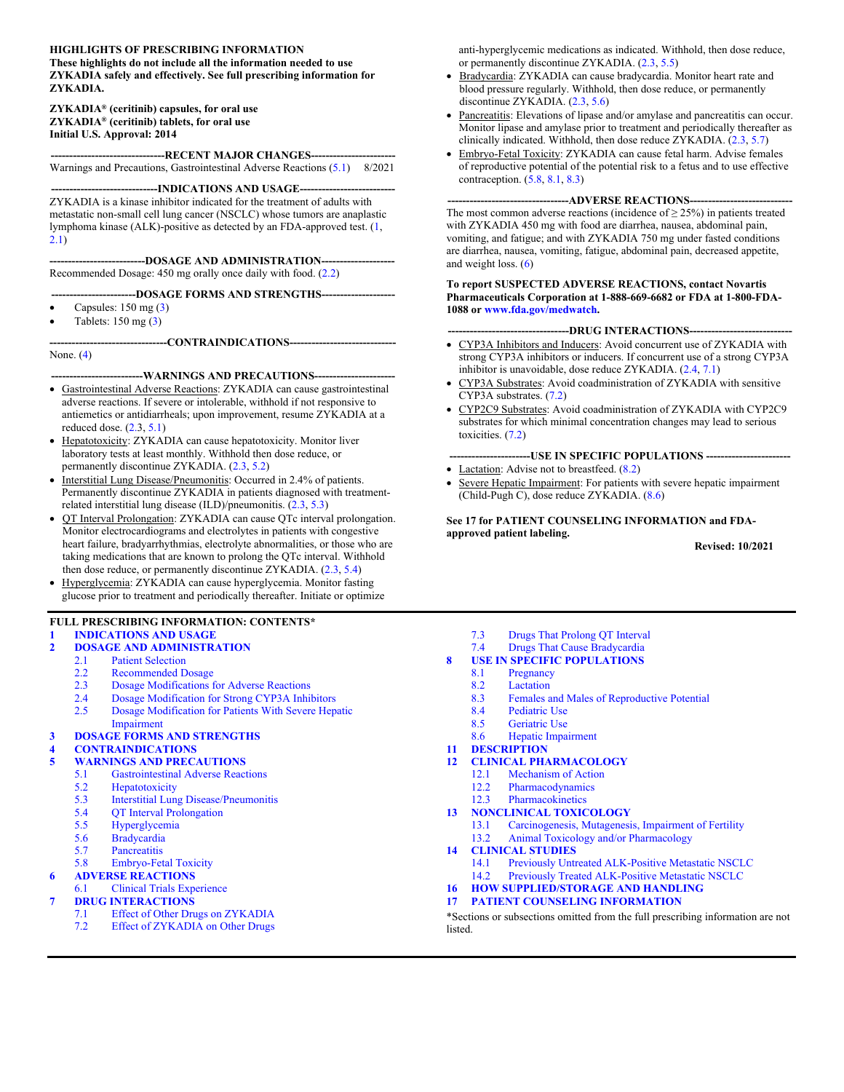#### **HIGHLIGHTS OF PRESCRIBING INFORMATION**

**These highlights do not include all the information needed to use ZYKADIA safely and effectively. See full prescribing information for ZYKADIA.**

#### **ZYKADIA® (ceritinib) capsules, for oral use ZYKADIA® (ceritinib) tablets, for oral use Initial U.S. Approval: 2014**

**-------------------------------RECENT MAJOR CHANGES-----------------------** Warnings and Precautions, Gastrointestinal Adverse Reactions ([5.1\)](#page-3-0) 8/2021

**-----INDICATIONS AND USAGE---**

ZYKADIA is a kinase inhibitor indicated for the treatment of adults with metastatic non-small cell lung cancer (NSCLC) whose tumors are anaplastic lymphoma kinase (ALK)-positive as detected by an FDA-approved test. [\(1](#page-1-0), [2.1](#page-1-1))

**--------------------------DOSAGE AND ADMINISTRATION--------------------**

Recommended Dosage: 450 mg orally once daily with food. ([2.2\)](#page-1-2)

#### **-----------------------DOSAGE FORMS AND STRENGTHS--------------------**

- Capsules:  $150 \text{ mg} (3)$  $150 \text{ mg} (3)$
- Tablets: 150 mg ([3\)](#page-2-0)

**--------------------------------CONTRAINDICATIONS-----------------------------**

None. ([4\)](#page-3-1)

#### **-------------------------WARNINGS AND PRECAUTIONS----------------------**

- Gastrointestinal Adverse Reactions: ZYKADIA can cause gastrointestinal adverse reactions. If severe or intolerable, withhold if not responsive to antiemetics or antidiarrheals; upon improvement, resume ZYKADIA at a reduced dose.  $(2.3, 5.1)$  $(2.3, 5.1)$  $(2.3, 5.1)$  $(2.3, 5.1)$
- Hepatotoxicity: ZYKADIA can cause hepatotoxicity. Monitor liver laboratory tests at least monthly. Withhold then dose reduce, or permanently discontinue ZYKADIA. ([2.3,](#page-1-3) [5.2\)](#page-3-2)
- Interstitial Lung Disease/Pneumonitis: Occurred in 2.4% of patients. Permanently discontinue ZYKADIA in patients diagnosed with treatmentrelated interstitial lung disease (ILD)/pneumonitis. ([2.3,](#page-1-3) [5.3\)](#page-3-3)
- QT Interval Prolongation: ZYKADIA can cause QTc interval prolongation. Monitor electrocardiograms and electrolytes in patients with congestive heart failure, bradyarrhythmias, electrolyte abnormalities, or those who are taking medications that are known to prolong the QTc interval. Withhold then dose reduce, or permanently discontinue ZYKADIA. ([2.3,](#page-1-3) [5.4\)](#page-3-4)
- Hyperglycemia: ZYKADIA can cause hyperglycemia. Monitor fasting glucose prior to treatment and periodically thereafter. Initiate or optimize

#### **FULL PRESCRIBING INFORMATION: CONTENTS\***

#### **[1 INDICATIONS AND USAGE](#page-1-0)**

### **[2 DOSAGE AND ADMINISTRATION](#page-1-4)**

- [2.1 Patient Selection](#page-1-1)<br>2.2 Recommended D
- Recommended Dosage
- [2.3 Dosage Modifications for Adverse Reactions](#page-1-3)
- [2.4 Dosage Modification for Strong CYP3A Inhibitors](#page-2-1)<br>2.5 Dosage Modification for Patients With Severe Hem-Dosage Modification for Patients With Severe Hepatic
- [Impairment](#page-2-2)
- **[3 DOSAGE FORMS AND STRENGTHS](#page-2-0)**

# **[4 CONTRAINDICATIONS](#page-3-1)**

- **[5 WARNINGS AND PRECAUTIONS](#page-3-5)**
	- [5.1 Gastrointestinal Adverse Reactions](#page-3-0)
	- [5.2 Hepatotoxicity](#page-3-2)
	- [5.3 Interstitial Lung Disease/Pneumonitis](#page-3-3)<br>5.4 OT Interval Prolongation
	- **OT** Interval Prolongation
	- [5.5 Hyperglycemia](#page-4-0)
	- [5.6 Bradycardia](#page-4-1)
	- [5.7 Pancreatitis](#page-4-2)<br>5.8 Embryo-Fet
	- [5.8 Embryo-Fetal Toxicity](#page-4-3)

#### **[6 ADVERSE REACTIONS](#page-4-4)**

- [6.1 Clinical Trials Experience](#page-5-0)
- **[7 DRUG INTERACTIONS](#page-9-3)**
	- [7.1 Effect of Other Drugs on ZYKADIA](#page-9-1)
	- [7.2 Effect of ZYKADIA on Other Drugs](#page-9-2)

anti-hyperglycemic medications as indicated. Withhold, then dose reduce, or permanently discontinue ZYKADIA. ([2.3,](#page-1-3) [5.5\)](#page-4-0)

- Bradycardia: ZYKADIA can cause bradycardia. Monitor heart rate and blood pressure regularly. Withhold, then dose reduce, or permanently discontinue ZYKADIA. [\(2.3](#page-1-3), [5.6](#page-4-1))
- Pancreatitis: Elevations of lipase and/or amylase and pancreatitis can occur. Monitor lipase and amylase prior to treatment and periodically thereafter as clinically indicated. Withhold, then dose reduce ZYKADIA. [\(2.3](#page-1-3), [5.7](#page-4-2))
- Embryo-Fetal Toxicity: ZYKADIA can cause fetal harm. Advise females of reproductive potential of the potential risk to a fetus and to use effective contraception. [\(5.8](#page-4-3), [8.1](#page-9-0), [8.3](#page-10-0))

#### **---------------------------------ADVERSE REACTIONS----------------------------**

The most common adverse reactions (incidence of  $\geq$  25%) in patients treated with ZYKADIA 450 mg with food are diarrhea, nausea, abdominal pain, vomiting, and fatigue; and with ZYKADIA 750 mg under fasted conditions are diarrhea, nausea, vomiting, fatigue, abdominal pain, decreased appetite, and weight loss.  $(6)$  $(6)$ 

#### **To report SUSPECTED ADVERSE REACTIONS, contact Novartis Pharmaceuticals Corporation at 1-888-669-6682 or FDA at 1-800-FDA-1088 or [www.fda.gov/medwatch](http://www.fda.gov/medwatch).**

#### **---------------------------------DRUG INTERACTIONS----------------------------**

- CYP3A Inhibitors and Inducers: Avoid concurrent use of ZYKADIA with strong CYP3A inhibitors or inducers. If concurrent use of a strong CYP3A inhibitor is unavoidable, dose reduce ZYKADIA. [\(2.4](#page-2-1), [7.1](#page-9-1))
- CYP3A Substrates: Avoid coadministration of ZYKADIA with sensitive CYP3A substrates. ([7.2\)](#page-9-2)
- CYP2C9 Substrates: Avoid coadministration of ZYKADIA with CYP2C9 substrates for which minimal concentration changes may lead to serious toxicities. ([7.2\)](#page-9-2)

---USE IN SPECIFIC POPULATIONS ----• Lactation: Advise not to breastfeed. [\(8.2](#page-10-1))

 Severe Hepatic Impairment: For patients with severe hepatic impairment (Child-Pugh C), dose reduce ZYKADIA. ([8.6\)](#page-10-2)

**See 17 for PATIENT COUNSELING INFORMATION and FDAapproved patient labeling.**

**Revised: 10/2021**

- [7.3 Drugs That Prolong QT Interval](#page-9-4)
- [7.4 Drugs That Cause Bradycardia](#page-9-5)
- **[8 USE IN SPECIFIC POPULATIONS](#page-9-6)**<br>8.1 Pregnancy
	- [8.1 Pregnancy](#page-9-0)<br>8.2 Lactation
		- Lactation
	- [8.3 Females and Males of Reproductive Potential](#page-10-0)<br>8.4 Pediatric Use
	- Pediatric Use
	- [8.5 Geriatric Use](#page-10-4)
	- [8.6 Hepatic Impairment](#page-10-2)
- **[11 DESCRIPTION](#page-10-5)**
- **[12 CLINICAL PHARMACOLOGY](#page-11-0)**
	- [12.1 Mechanism of Action](#page-11-1)
	- [12.2 Pharmacodynamics](#page-11-2)
	- [12.3 Pharmacokinetics](#page-11-3)

#### **[13 NONCLINICAL TOXICOLOGY](#page-13-0)**

[13.1 Carcinogenesis, Mutagenesis, Impairment of Fertility](#page-13-1) [13.2 Animal Toxicology and/or Pharmacology](#page-13-2)

# **[14 CLINICAL STUDIES](#page-13-3)**

- Previously Untreated ALK-Positive Metastatic NSCLC
- [14.2 Previously Treated ALK-Positive Metastatic NSCLC](#page-15-0)
- **[16 HOW SUPPLIED/STORAGE AND HANDLING](#page-16-0)**
- **[17 PATIENT COUNSELING INFORMATION](#page-16-1)**

\*Sections or subsections omitted from the full prescribing information are not listed.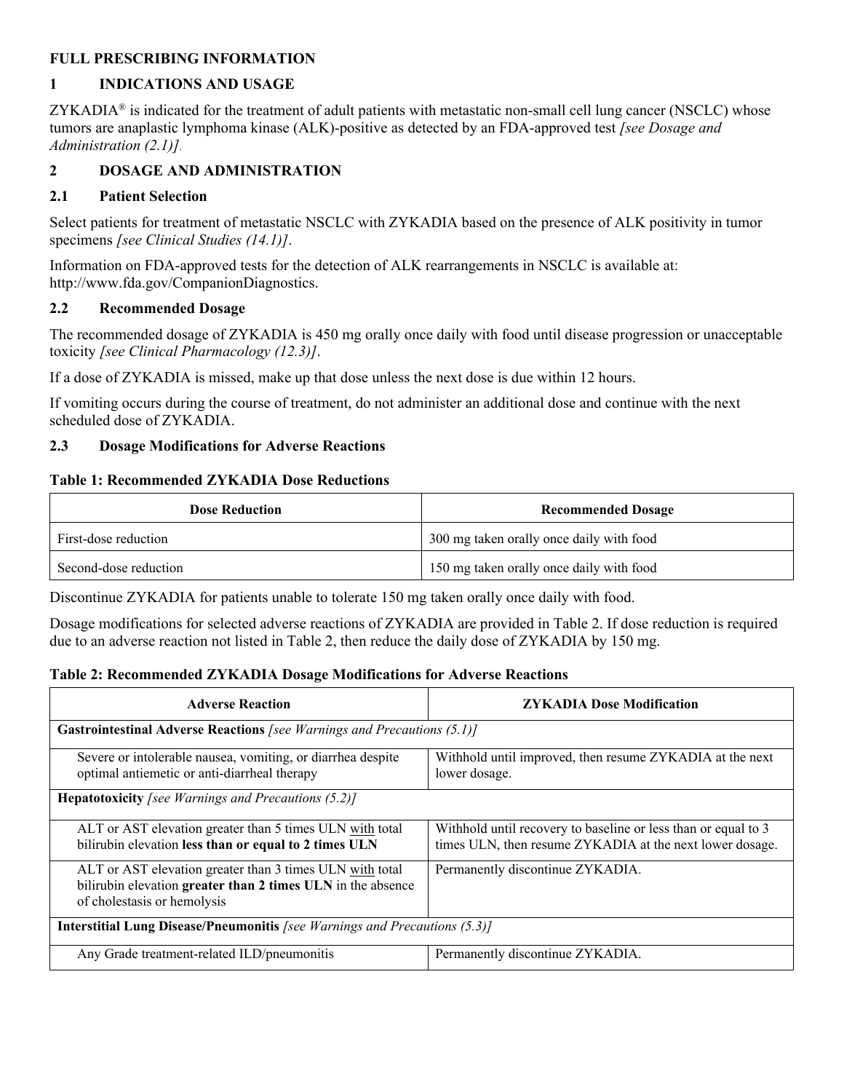### **FULL PRESCRIBING INFORMATION**

## <span id="page-1-0"></span>**1 INDICATIONS AND USAGE**

 $ZYKADIA<sup>®</sup>$  is indicated for the treatment of adult patients with metastatic non-small cell lung cancer (NSCLC) whose tumors are anaplastic lymphoma kinase (ALK)-positive as detected by an FDA-approved test *[see Dosage and Administration (2.1)]*.

## <span id="page-1-4"></span>**2 DOSAGE AND ADMINISTRATION**

## <span id="page-1-1"></span>**2.1 Patient Selection**

Select patients for treatment of metastatic NSCLC with ZYKADIA based on the presence of ALK positivity in tumor specimens *[see Clinical Studies (14.1)]*.

Information on FDA-approved tests for the detection of ALK rearrangements in NSCLC is available at: http://www.fda.gov/CompanionDiagnostics.

### <span id="page-1-2"></span>**2.2 Recommended Dosage**

The recommended dosage of ZYKADIA is 450 mg orally once daily with food until disease progression or unacceptable toxicity *[see Clinical Pharmacology (12.3)]*.

If a dose of ZYKADIA is missed, make up that dose unless the next dose is due within 12 hours.

If vomiting occurs during the course of treatment, do not administer an additional dose and continue with the next scheduled dose of ZYKADIA.

### <span id="page-1-3"></span>**2.3 Dosage Modifications for Adverse Reactions**

### **Table 1: Recommended ZYKADIA Dose Reductions**

| <b>Dose Reduction</b> | <b>Recommended Dosage</b>                |
|-----------------------|------------------------------------------|
| First-dose reduction  | 300 mg taken orally once daily with food |
| Second-dose reduction | 150 mg taken orally once daily with food |

Discontinue ZYKADIA for patients unable to tolerate 150 mg taken orally once daily with food.

Dosage modifications for selected adverse reactions of ZYKADIA are provided in Table 2. If dose reduction is required due to an adverse reaction not listed in Table 2, then reduce the daily dose of ZYKADIA by 150 mg.

### **Table 2: Recommended ZYKADIA Dosage Modifications for Adverse Reactions**

| <b>Adverse Reaction</b>                                                                                                                                | <b>ZYKADIA Dose Modification</b>                                                                                           |  |  |
|--------------------------------------------------------------------------------------------------------------------------------------------------------|----------------------------------------------------------------------------------------------------------------------------|--|--|
| <b>Gastrointestinal Adverse Reactions</b> [see Warnings and Precautions (5.1)]                                                                         |                                                                                                                            |  |  |
| Severe or intolerable nausea, vomiting, or diarrhea despite<br>optimal antiemetic or anti-diarrheal therapy                                            | Withhold until improved, then resume ZYKADIA at the next<br>lower dosage.                                                  |  |  |
| <b>Hepatotoxicity</b> [see Warnings and Precautions $(5.2)$ ]                                                                                          |                                                                                                                            |  |  |
| ALT or AST elevation greater than 5 times ULN with total<br>bilirubin elevation less than or equal to 2 times ULN                                      | Withhold until recovery to baseline or less than or equal to 3<br>times ULN, then resume ZYKADIA at the next lower dosage. |  |  |
| ALT or AST elevation greater than 3 times ULN with total<br>bilirubin elevation greater than 2 times ULN in the absence<br>of cholestasis or hemolysis | Permanently discontinue ZYKADIA.                                                                                           |  |  |
| <b>Interstitial Lung Disease/Pneumonitis [see Warnings and Precautions (5.3)]</b>                                                                      |                                                                                                                            |  |  |
| Any Grade treatment-related ILD/pneumonitis                                                                                                            | Permanently discontinue ZYKADIA.                                                                                           |  |  |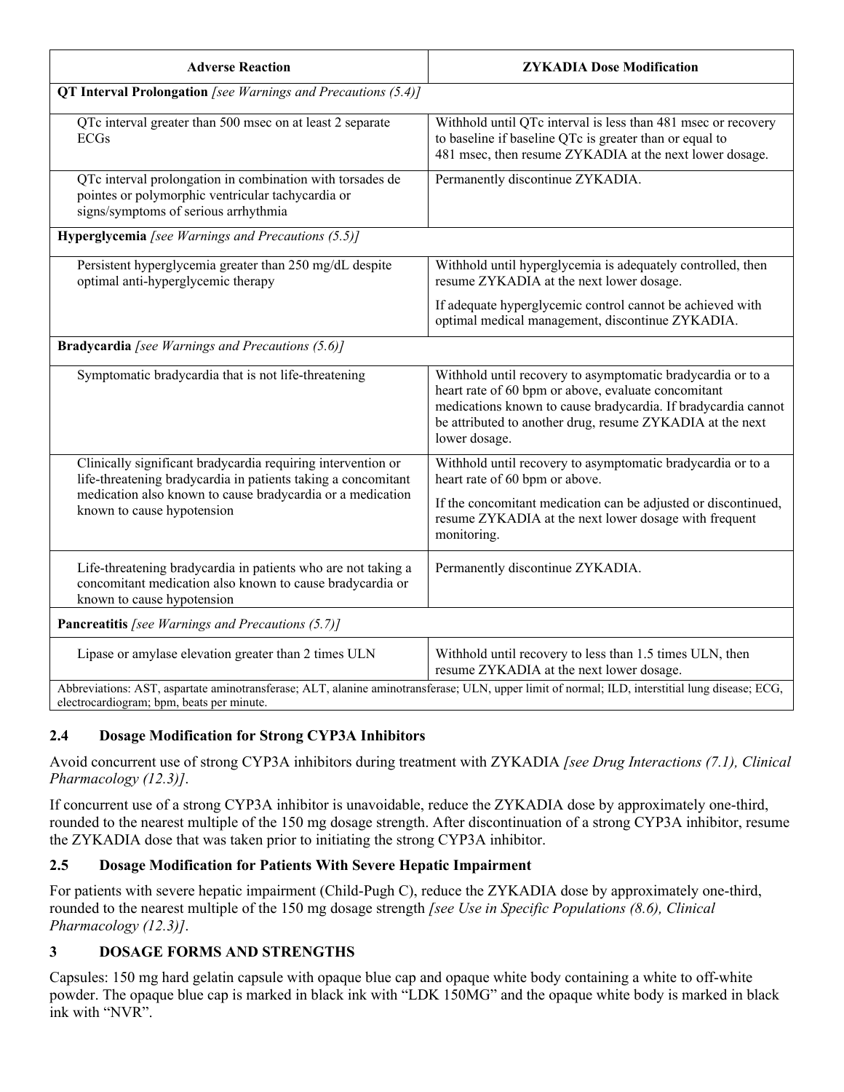| <b>Adverse Reaction</b>                                                                                                                                                                      | <b>ZYKADIA Dose Modification</b>                                                                                                                                                                                                                                  |  |  |
|----------------------------------------------------------------------------------------------------------------------------------------------------------------------------------------------|-------------------------------------------------------------------------------------------------------------------------------------------------------------------------------------------------------------------------------------------------------------------|--|--|
| <b>QT Interval Prolongation</b> [see Warnings and Precautions (5.4)]                                                                                                                         |                                                                                                                                                                                                                                                                   |  |  |
| QTc interval greater than 500 msec on at least 2 separate<br><b>ECGs</b>                                                                                                                     | Withhold until QTc interval is less than 481 msec or recovery<br>to baseline if baseline QTc is greater than or equal to<br>481 msec, then resume ZYKADIA at the next lower dosage.                                                                               |  |  |
| QTc interval prolongation in combination with torsades de<br>pointes or polymorphic ventricular tachycardia or<br>signs/symptoms of serious arrhythmia                                       | Permanently discontinue ZYKADIA.                                                                                                                                                                                                                                  |  |  |
| Hyperglycemia [see Warnings and Precautions (5.5)]                                                                                                                                           |                                                                                                                                                                                                                                                                   |  |  |
| Persistent hyperglycemia greater than 250 mg/dL despite<br>optimal anti-hyperglycemic therapy                                                                                                | Withhold until hyperglycemia is adequately controlled, then<br>resume ZYKADIA at the next lower dosage.                                                                                                                                                           |  |  |
|                                                                                                                                                                                              | If adequate hyperglycemic control cannot be achieved with<br>optimal medical management, discontinue ZYKADIA.                                                                                                                                                     |  |  |
| <b>Bradycardia</b> [see Warnings and Precautions (5.6)]                                                                                                                                      |                                                                                                                                                                                                                                                                   |  |  |
| Symptomatic bradycardia that is not life-threatening                                                                                                                                         | Withhold until recovery to asymptomatic bradycardia or to a<br>heart rate of 60 bpm or above, evaluate concomitant<br>medications known to cause bradycardia. If bradycardia cannot<br>be attributed to another drug, resume ZYKADIA at the next<br>lower dosage. |  |  |
| Clinically significant bradycardia requiring intervention or<br>life-threatening bradycardia in patients taking a concomitant                                                                | Withhold until recovery to asymptomatic bradycardia or to a<br>heart rate of 60 bpm or above.                                                                                                                                                                     |  |  |
| medication also known to cause bradycardia or a medication<br>known to cause hypotension                                                                                                     | If the concomitant medication can be adjusted or discontinued,<br>resume ZYKADIA at the next lower dosage with frequent<br>monitoring.                                                                                                                            |  |  |
| Life-threatening bradycardia in patients who are not taking a<br>concomitant medication also known to cause bradycardia or<br>known to cause hypotension                                     | Permanently discontinue ZYKADIA.                                                                                                                                                                                                                                  |  |  |
| <b>Pancreatitis</b> [see Warnings and Precautions (5.7)]                                                                                                                                     |                                                                                                                                                                                                                                                                   |  |  |
| Lipase or amylase elevation greater than 2 times ULN                                                                                                                                         | Withhold until recovery to less than 1.5 times ULN, then<br>resume ZYKADIA at the next lower dosage.                                                                                                                                                              |  |  |
| Abbreviations: AST, aspartate aminotransferase; ALT, alanine aminotransferase; ULN, upper limit of normal; ILD, interstitial lung disease; ECG,<br>electrocardiogram; bpm, beats per minute. |                                                                                                                                                                                                                                                                   |  |  |

## <span id="page-2-1"></span>**2.4 Dosage Modification for Strong CYP3A Inhibitors**

Avoid concurrent use of strong CYP3A inhibitors during treatment with ZYKADIA *[see Drug Interactions (7.1), Clinical Pharmacology (12.3)]*.

If concurrent use of a strong CYP3A inhibitor is unavoidable, reduce the ZYKADIA dose by approximately one-third, rounded to the nearest multiple of the 150 mg dosage strength. After discontinuation of a strong CYP3A inhibitor, resume the ZYKADIA dose that was taken prior to initiating the strong CYP3A inhibitor.

## <span id="page-2-2"></span>**2.5 Dosage Modification for Patients With Severe Hepatic Impairment**

For patients with severe hepatic impairment (Child-Pugh C), reduce the ZYKADIA dose by approximately one-third, rounded to the nearest multiple of the 150 mg dosage strength *[see Use in Specific Populations (8.6), Clinical Pharmacology (12.3)]*.

## <span id="page-2-0"></span>**3 DOSAGE FORMS AND STRENGTHS**

Capsules: 150 mg hard gelatin capsule with opaque blue cap and opaque white body containing a white to off-white powder. The opaque blue cap is marked in black ink with "LDK 150MG" and the opaque white body is marked in black ink with "NVR".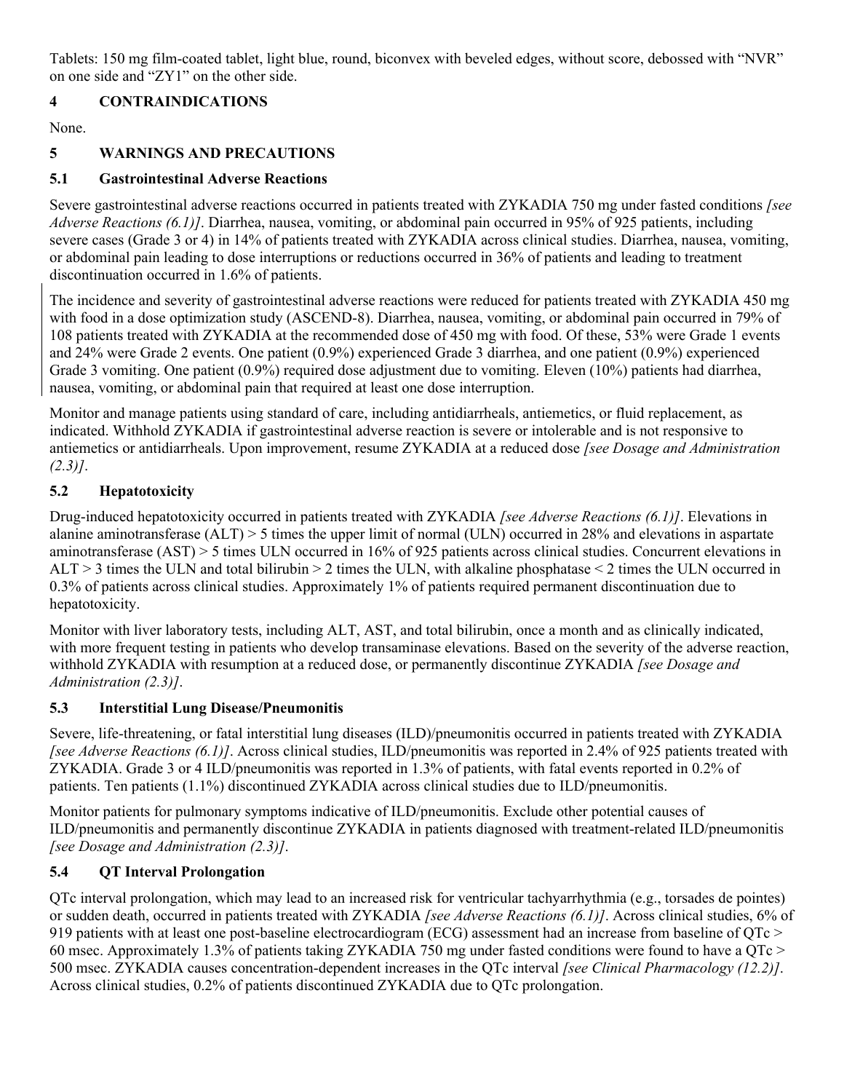Tablets: 150 mg film-coated tablet, light blue, round, biconvex with beveled edges, without score, debossed with "NVR" on one side and "ZY1" on the other side.

## <span id="page-3-1"></span>**4 CONTRAINDICATIONS**

None.

## <span id="page-3-5"></span>**5 WARNINGS AND PRECAUTIONS**

## <span id="page-3-0"></span>**5.1 Gastrointestinal Adverse Reactions**

Severe gastrointestinal adverse reactions occurred in patients treated with ZYKADIA 750 mg under fasted conditions *[see Adverse Reactions (6.1)]*. Diarrhea, nausea, vomiting, or abdominal pain occurred in 95% of 925 patients, including severe cases (Grade 3 or 4) in 14% of patients treated with ZYKADIA across clinical studies. Diarrhea, nausea, vomiting, or abdominal pain leading to dose interruptions or reductions occurred in 36% of patients and leading to treatment discontinuation occurred in 1.6% of patients.

The incidence and severity of gastrointestinal adverse reactions were reduced for patients treated with ZYKADIA 450 mg with food in a dose optimization study (ASCEND-8). Diarrhea, nausea, vomiting, or abdominal pain occurred in 79% of 108 patients treated with ZYKADIA at the recommended dose of 450 mg with food. Of these, 53% were Grade 1 events and 24% were Grade 2 events. One patient (0.9%) experienced Grade 3 diarrhea, and one patient (0.9%) experienced Grade 3 vomiting. One patient (0.9%) required dose adjustment due to vomiting. Eleven (10%) patients had diarrhea, nausea, vomiting, or abdominal pain that required at least one dose interruption.

Monitor and manage patients using standard of care, including antidiarrheals, antiemetics, or fluid replacement, as indicated. Withhold ZYKADIA if gastrointestinal adverse reaction is severe or intolerable and is not responsive to antiemetics or antidiarrheals. Upon improvement, resume ZYKADIA at a reduced dose *[see Dosage and Administration (2.3)]*.

## <span id="page-3-2"></span>**5.2 Hepatotoxicity**

Drug-induced hepatotoxicity occurred in patients treated with ZYKADIA *[see Adverse Reactions (6.1)]*. Elevations in alanine aminotransferase (ALT) > 5 times the upper limit of normal (ULN) occurred in 28% and elevations in aspartate aminotransferase (AST) > 5 times ULN occurred in 16% of 925 patients across clinical studies. Concurrent elevations in  $ALT > 3$  times the ULN and total bilirubin  $> 2$  times the ULN, with alkaline phosphatase  $\leq 2$  times the ULN occurred in 0.3% of patients across clinical studies. Approximately 1% of patients required permanent discontinuation due to hepatotoxicity.

Monitor with liver laboratory tests, including ALT, AST, and total bilirubin, once a month and as clinically indicated, with more frequent testing in patients who develop transaminase elevations. Based on the severity of the adverse reaction, withhold ZYKADIA with resumption at a reduced dose, or permanently discontinue ZYKADIA *[see Dosage and Administration (2.3)]*.

## <span id="page-3-3"></span>**5.3 Interstitial Lung Disease/Pneumonitis**

Severe, life-threatening, or fatal interstitial lung diseases (ILD)/pneumonitis occurred in patients treated with ZYKADIA *[see Adverse Reactions (6.1)]*. Across clinical studies, ILD/pneumonitis was reported in 2.4% of 925 patients treated with ZYKADIA. Grade 3 or 4 ILD/pneumonitis was reported in 1.3% of patients, with fatal events reported in 0.2% of patients. Ten patients (1.1%) discontinued ZYKADIA across clinical studies due to ILD/pneumonitis.

Monitor patients for pulmonary symptoms indicative of ILD/pneumonitis. Exclude other potential causes of ILD/pneumonitis and permanently discontinue ZYKADIA in patients diagnosed with treatment-related ILD/pneumonitis *[see Dosage and Administration (2.3)]*.

## <span id="page-3-4"></span>**5.4 QT Interval Prolongation**

QTc interval prolongation, which may lead to an increased risk for ventricular tachyarrhythmia (e.g., torsades de pointes) or sudden death, occurred in patients treated with ZYKADIA *[see Adverse Reactions (6.1)]*. Across clinical studies, 6% of 919 patients with at least one post-baseline electrocardiogram (ECG) assessment had an increase from baseline of QTc > 60 msec. Approximately 1.3% of patients taking ZYKADIA 750 mg under fasted conditions were found to have a QTc > 500 msec. ZYKADIA causes concentration-dependent increases in the QTc interval *[see Clinical Pharmacology (12.2)]*. Across clinical studies, 0.2% of patients discontinued ZYKADIA due to QTc prolongation.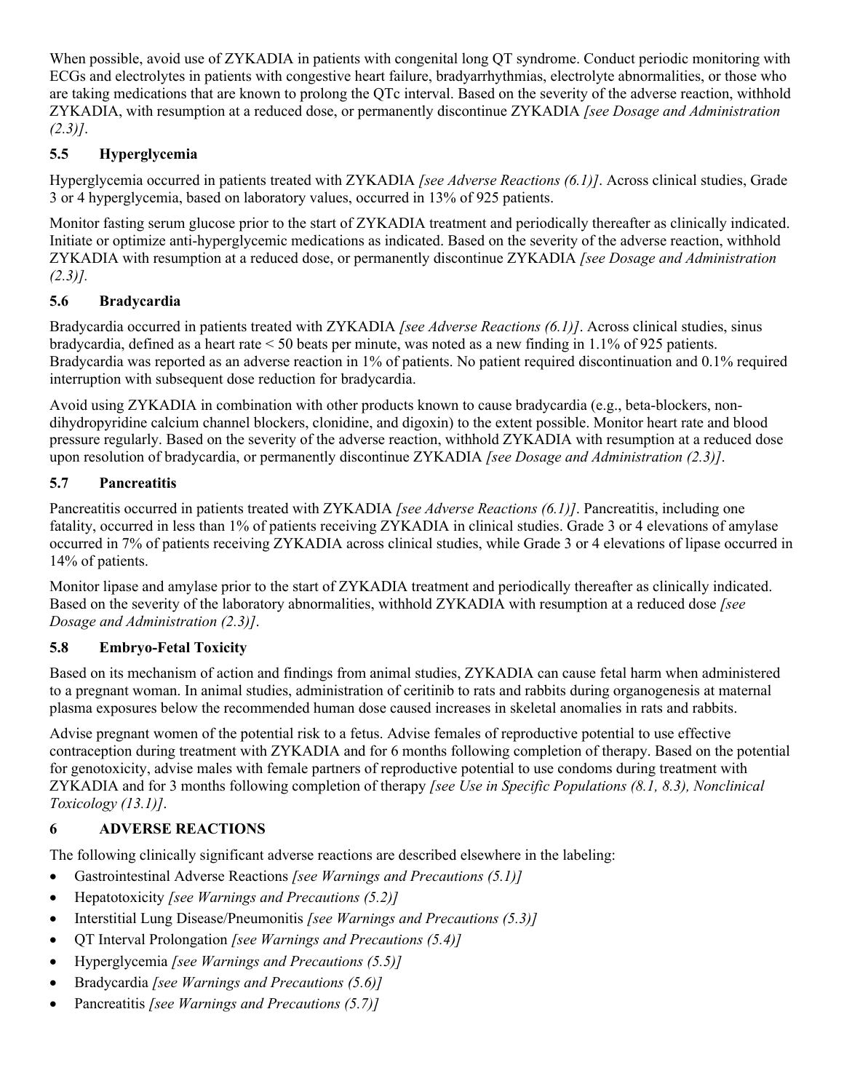When possible, avoid use of ZYKADIA in patients with congenital long QT syndrome. Conduct periodic monitoring with ECGs and electrolytes in patients with congestive heart failure, bradyarrhythmias, electrolyte abnormalities, or those who are taking medications that are known to prolong the QTc interval. Based on the severity of the adverse reaction, withhold ZYKADIA, with resumption at a reduced dose, or permanently discontinue ZYKADIA *[see Dosage and Administration (2.3)]*.

## <span id="page-4-0"></span>**5.5 Hyperglycemia**

Hyperglycemia occurred in patients treated with ZYKADIA *[see Adverse Reactions (6.1)]*. Across clinical studies, Grade 3 or 4 hyperglycemia, based on laboratory values, occurred in 13% of 925 patients.

Monitor fasting serum glucose prior to the start of ZYKADIA treatment and periodically thereafter as clinically indicated. Initiate or optimize anti-hyperglycemic medications as indicated. Based on the severity of the adverse reaction, withhold ZYKADIA with resumption at a reduced dose, or permanently discontinue ZYKADIA *[see Dosage and Administration (2.3)].*

## <span id="page-4-1"></span>**5.6 Bradycardia**

Bradycardia occurred in patients treated with ZYKADIA *[see Adverse Reactions (6.1)]*. Across clinical studies, sinus bradycardia, defined as a heart rate < 50 beats per minute, was noted as a new finding in 1.1% of 925 patients. Bradycardia was reported as an adverse reaction in 1% of patients. No patient required discontinuation and 0.1% required interruption with subsequent dose reduction for bradycardia.

Avoid using ZYKADIA in combination with other products known to cause bradycardia (e.g., beta-blockers, nondihydropyridine calcium channel blockers, clonidine, and digoxin) to the extent possible. Monitor heart rate and blood pressure regularly. Based on the severity of the adverse reaction, withhold ZYKADIA with resumption at a reduced dose upon resolution of bradycardia, or permanently discontinue ZYKADIA *[see Dosage and Administration (2.3)]*.

## <span id="page-4-2"></span>**5.7 Pancreatitis**

Pancreatitis occurred in patients treated with ZYKADIA *[see Adverse Reactions (6.1)]*. Pancreatitis, including one fatality, occurred in less than 1% of patients receiving ZYKADIA in clinical studies. Grade 3 or 4 elevations of amylase occurred in 7% of patients receiving ZYKADIA across clinical studies, while Grade 3 or 4 elevations of lipase occurred in 14% of patients.

Monitor lipase and amylase prior to the start of ZYKADIA treatment and periodically thereafter as clinically indicated. Based on the severity of the laboratory abnormalities, withhold ZYKADIA with resumption at a reduced dose *[see Dosage and Administration (2.3)]*.

## <span id="page-4-3"></span>**5.8 Embryo-Fetal Toxicity**

Based on its mechanism of action and findings from animal studies, ZYKADIA can cause fetal harm when administered to a pregnant woman. In animal studies, administration of ceritinib to rats and rabbits during organogenesis at maternal plasma exposures below the recommended human dose caused increases in skeletal anomalies in rats and rabbits.

Advise pregnant women of the potential risk to a fetus. Advise females of reproductive potential to use effective contraception during treatment with ZYKADIA and for 6 months following completion of therapy. Based on the potential for genotoxicity, advise males with female partners of reproductive potential to use condoms during treatment with ZYKADIA and for 3 months following completion of therapy *[see Use in Specific Populations (8.1, 8.3), Nonclinical Toxicology (13.1)]*.

## <span id="page-4-4"></span>**6 ADVERSE REACTIONS**

The following clinically significant adverse reactions are described elsewhere in the labeling:

- Gastrointestinal Adverse Reactions *[see Warnings and Precautions (5.1)]*
- Hepatotoxicity *[see Warnings and Precautions (5.2)]*
- Interstitial Lung Disease/Pneumonitis *[see Warnings and Precautions (5.3)]*
- QT Interval Prolongation *[see Warnings and Precautions (5.4)]*
- Hyperglycemia *[see Warnings and Precautions (5.5)]*
- Bradycardia *[see Warnings and Precautions (5.6)]*
- Pancreatitis *[see Warnings and Precautions (5.7)]*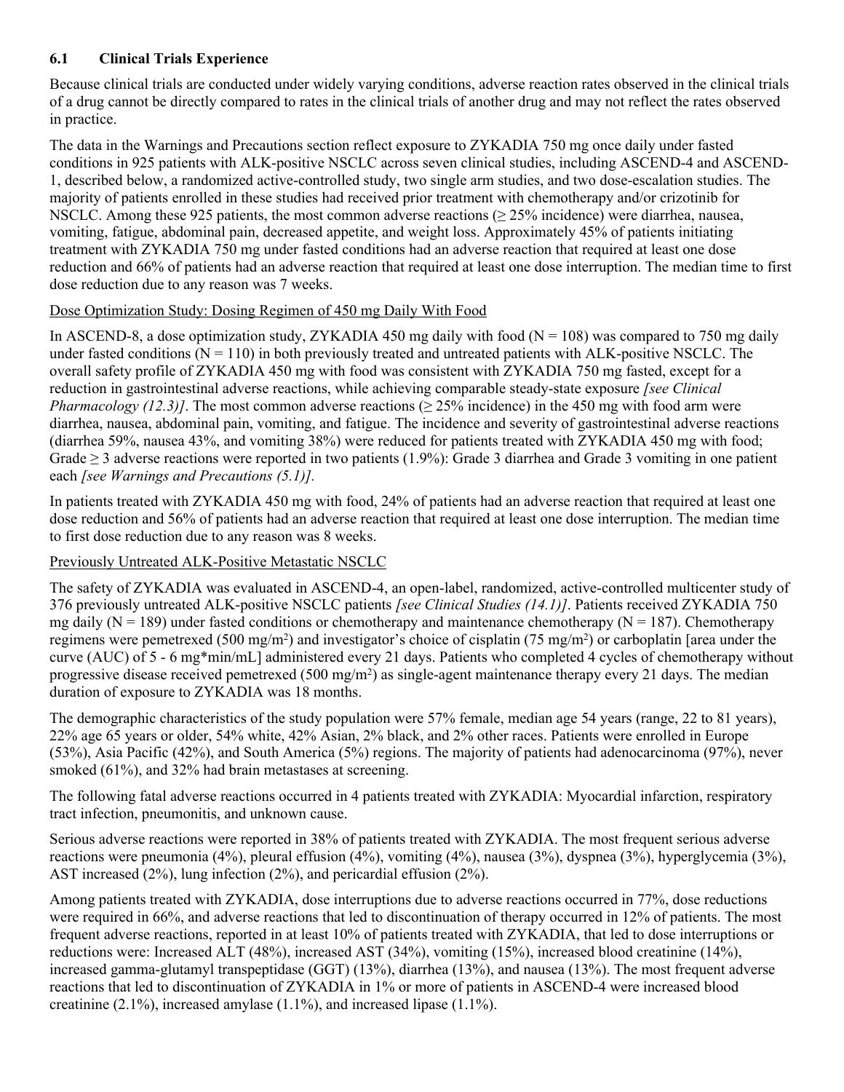## <span id="page-5-0"></span>**6.1 Clinical Trials Experience**

Because clinical trials are conducted under widely varying conditions, adverse reaction rates observed in the clinical trials of a drug cannot be directly compared to rates in the clinical trials of another drug and may not reflect the rates observed in practice.

The data in the Warnings and Precautions section reflect exposure to ZYKADIA 750 mg once daily under fasted conditions in 925 patients with ALK-positive NSCLC across seven clinical studies, including ASCEND-4 and ASCEND-1, described below, a randomized active-controlled study, two single arm studies, and two dose-escalation studies. The majority of patients enrolled in these studies had received prior treatment with chemotherapy and/or crizotinib for NSCLC. Among these 925 patients, the most common adverse reactions (≥ 25% incidence) were diarrhea, nausea, vomiting, fatigue, abdominal pain, decreased appetite, and weight loss. Approximately 45% of patients initiating treatment with ZYKADIA 750 mg under fasted conditions had an adverse reaction that required at least one dose reduction and 66% of patients had an adverse reaction that required at least one dose interruption. The median time to first dose reduction due to any reason was 7 weeks.

## Dose Optimization Study: Dosing Regimen of 450 mg Daily With Food

In ASCEND-8, a dose optimization study, ZYKADIA 450 mg daily with food ( $N = 108$ ) was compared to 750 mg daily under fasted conditions  $(N = 110)$  in both previously treated and untreated patients with ALK-positive NSCLC. The overall safety profile of ZYKADIA 450 mg with food was consistent with ZYKADIA 750 mg fasted, except for a reduction in gastrointestinal adverse reactions, while achieving comparable steady-state exposure *[see Clinical Pharmacology (12.3)]*. The most common adverse reactions ( $\geq$  25% incidence) in the 450 mg with food arm were diarrhea, nausea, abdominal pain, vomiting, and fatigue. The incidence and severity of gastrointestinal adverse reactions (diarrhea 59%, nausea 43%, and vomiting 38%) were reduced for patients treated with ZYKADIA 450 mg with food; Grade  $\geq$  3 adverse reactions were reported in two patients (1.9%): Grade 3 diarrhea and Grade 3 vomiting in one patient each *[see Warnings and Precautions (5.1)].*

In patients treated with ZYKADIA 450 mg with food, 24% of patients had an adverse reaction that required at least one dose reduction and 56% of patients had an adverse reaction that required at least one dose interruption. The median time to first dose reduction due to any reason was 8 weeks.

## Previously Untreated ALK-Positive Metastatic NSCLC

The safety of ZYKADIA was evaluated in ASCEND-4, an open-label, randomized, active-controlled multicenter study of 376 previously untreated ALK-positive NSCLC patients *[see Clinical Studies (14.1)]*. Patients received ZYKADIA 750 mg daily ( $N = 189$ ) under fasted conditions or chemotherapy and maintenance chemotherapy ( $N = 187$ ). Chemotherapy regimens were pemetrexed (500 mg/m<sup>2</sup>) and investigator's choice of cisplatin (75 mg/m<sup>2</sup>) or carboplatin [area under the curve (AUC) of 5 - 6 mg\*min/mL] administered every 21 days. Patients who completed 4 cycles of chemotherapy without progressive disease received pemetrexed (500 mg/m<sup>2</sup>) as single-agent maintenance therapy every 21 days. The median duration of exposure to ZYKADIA was 18 months.

The demographic characteristics of the study population were 57% female, median age 54 years (range, 22 to 81 years), 22% age 65 years or older, 54% white, 42% Asian, 2% black, and 2% other races. Patients were enrolled in Europe (53%), Asia Pacific (42%), and South America (5%) regions. The majority of patients had adenocarcinoma (97%), never smoked (61%), and 32% had brain metastases at screening.

The following fatal adverse reactions occurred in 4 patients treated with ZYKADIA: Myocardial infarction, respiratory tract infection, pneumonitis, and unknown cause.

Serious adverse reactions were reported in 38% of patients treated with ZYKADIA. The most frequent serious adverse reactions were pneumonia (4%), pleural effusion (4%), vomiting (4%), nausea (3%), dyspnea (3%), hyperglycemia (3%), AST increased (2%), lung infection (2%), and pericardial effusion (2%).

Among patients treated with ZYKADIA, dose interruptions due to adverse reactions occurred in 77%, dose reductions were required in 66%, and adverse reactions that led to discontinuation of therapy occurred in 12% of patients. The most frequent adverse reactions, reported in at least 10% of patients treated with ZYKADIA, that led to dose interruptions or reductions were: Increased ALT (48%), increased AST (34%), vomiting (15%), increased blood creatinine (14%), increased gamma-glutamyl transpeptidase (GGT) (13%), diarrhea (13%), and nausea (13%). The most frequent adverse reactions that led to discontinuation of ZYKADIA in 1% or more of patients in ASCEND-4 were increased blood creatinine (2.1%), increased amylase (1.1%), and increased lipase (1.1%).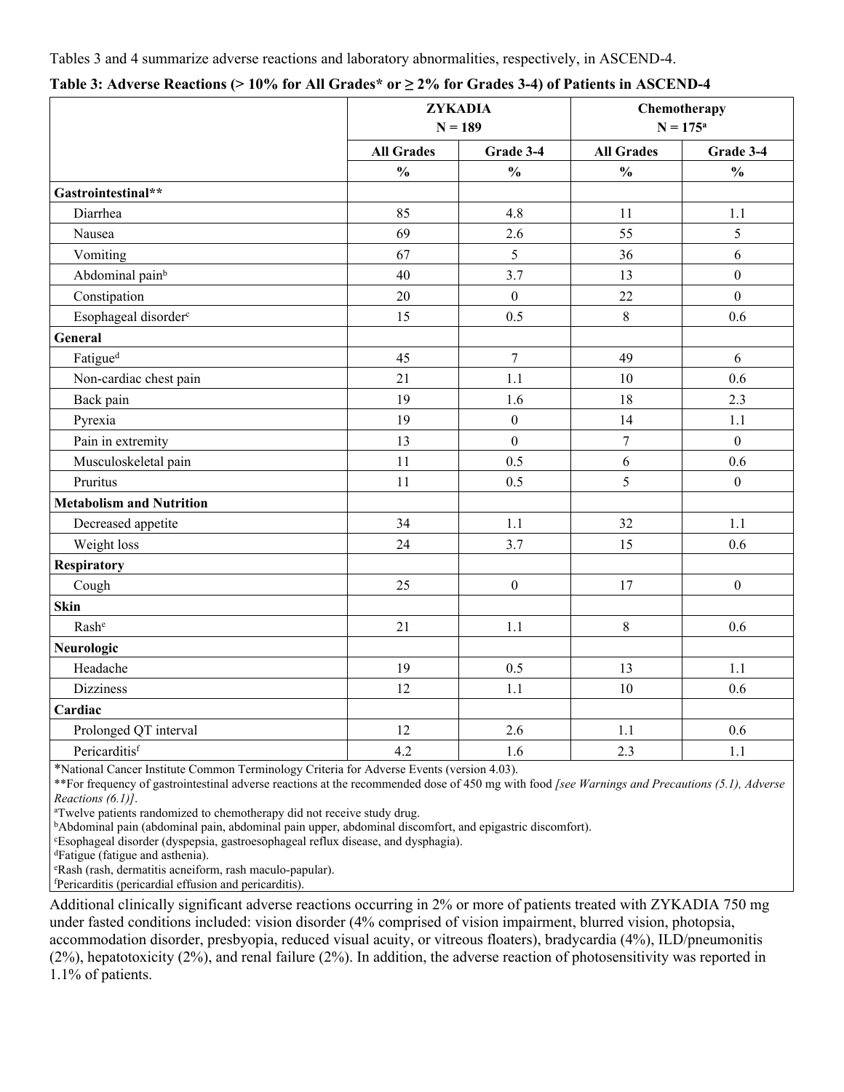Tables 3 and 4 summarize adverse reactions and laboratory abnormalities, respectively, in ASCEND-4.

|                                  | <b>ZYKADIA</b><br>$N = 189$ |                  |                   | Chemotherapy<br>$N = 175^a$ |
|----------------------------------|-----------------------------|------------------|-------------------|-----------------------------|
|                                  | <b>All Grades</b>           | Grade 3-4        | <b>All Grades</b> | Grade 3-4                   |
|                                  | $\frac{0}{0}$               | $\frac{0}{0}$    | $\frac{0}{0}$     | $\frac{0}{0}$               |
| Gastrointestinal**               |                             |                  |                   |                             |
| Diarrhea                         | 85                          | 4.8              | 11                | 1.1                         |
| Nausea                           | 69                          | 2.6              | 55                | 5                           |
| Vomiting                         | 67                          | 5                | 36                | 6                           |
| Abdominal pain <sup>b</sup>      | 40                          | 3.7              | 13                | $\mathbf{0}$                |
| Constipation                     | 20                          | $\mathbf{0}$     | 22                | $\overline{0}$              |
| Esophageal disorder <sup>c</sup> | 15                          | 0.5              | $8\,$             | 0.6                         |
| General                          |                             |                  |                   |                             |
| Fatigue <sup>d</sup>             | 45                          | $\boldsymbol{7}$ | 49                | 6                           |
| Non-cardiac chest pain           | 21                          | 1.1              | 10                | 0.6                         |
| Back pain                        | 19                          | 1.6              | 18                | 2.3                         |
| Pyrexia                          | 19                          | $\boldsymbol{0}$ | 14                | 1.1                         |
| Pain in extremity                | 13                          | $\mathbf{0}$     | $\overline{7}$    | $\mathbf{0}$                |
| Musculoskeletal pain             | 11                          | 0.5              | 6                 | 0.6                         |
| Pruritus                         | 11                          | 0.5              | 5                 | $\boldsymbol{0}$            |
| <b>Metabolism and Nutrition</b>  |                             |                  |                   |                             |
| Decreased appetite               | 34                          | 1.1              | 32                | 1.1                         |
| Weight loss                      | 24                          | 3.7              | 15                | 0.6                         |
| Respiratory                      |                             |                  |                   |                             |
| Cough                            | 25                          | $\boldsymbol{0}$ | 17                | $\boldsymbol{0}$            |
| Skin                             |                             |                  |                   |                             |
| Rashe                            | 21                          | 1.1              | $8\,$             | 0.6                         |
| Neurologic                       |                             |                  |                   |                             |
| Headache                         | 19                          | 0.5              | 13                | 1.1                         |
| <b>Dizziness</b>                 | 12                          | 1.1              | $10\,$            | 0.6                         |
| Cardiac                          |                             |                  |                   |                             |
| Prolonged QT interval            | 12                          | 2.6              | 1.1               | 0.6                         |
| Pericarditisf                    | 4.2                         | 1.6              | 2.3               | 1.1                         |

|  |  |  | Table 3: Adverse Reactions (> 10% for All Grades* or $\geq$ 2% for Grades 3-4) of Patients in ASCEND-4 |
|--|--|--|--------------------------------------------------------------------------------------------------------|
|--|--|--|--------------------------------------------------------------------------------------------------------|

\*National Cancer Institute Common Terminology Criteria for Adverse Events (version 4.03).

\*\*For frequency of gastrointestinal adverse reactions at the recommended dose of 450 mg with food *[see Warnings and Precautions (5.1), Adverse Reactions (6.1)]*.

<sup>a</sup>Twelve patients randomized to chemotherapy did not receive study drug.

<sup>b</sup>Abdominal pain (abdominal pain, abdominal pain upper, abdominal discomfort, and epigastric discomfort).

<sup>c</sup>Esophageal disorder (dyspepsia, gastroesophageal reflux disease, and dysphagia).

<sup>d</sup>Fatigue (fatigue and asthenia).

<sup>e</sup>Rash (rash, dermatitis acneiform, rash maculo-papular).

<sup>f</sup>Pericarditis (pericardial effusion and pericarditis).

Additional clinically significant adverse reactions occurring in 2% or more of patients treated with ZYKADIA 750 mg under fasted conditions included: vision disorder (4% comprised of vision impairment, blurred vision, photopsia, accommodation disorder, presbyopia, reduced visual acuity, or vitreous floaters), bradycardia (4%), ILD/pneumonitis (2%), hepatotoxicity (2%), and renal failure (2%). In addition, the adverse reaction of photosensitivity was reported in 1.1% of patients.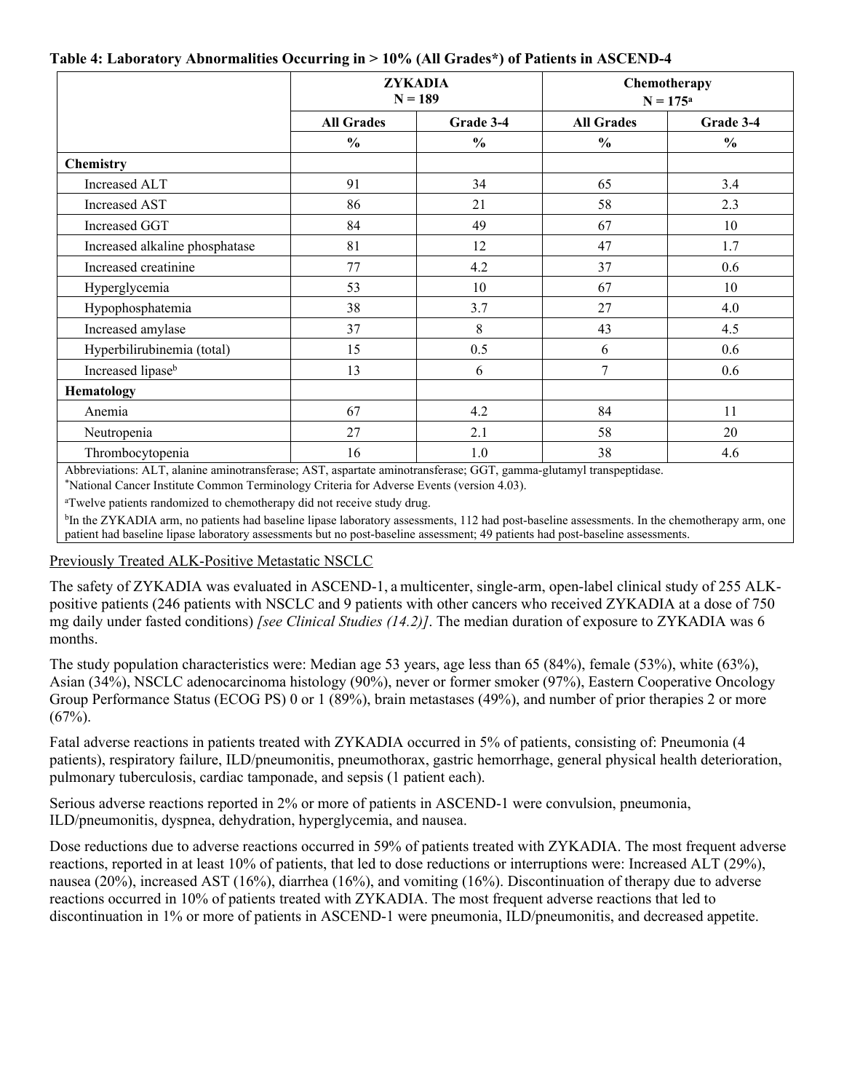| Table 4: Laboratory Abnormalities Occurring in > 10% (All Grades*) of Patients in ASCEND-4 |  |  |  |  |  |
|--------------------------------------------------------------------------------------------|--|--|--|--|--|
|--------------------------------------------------------------------------------------------|--|--|--|--|--|

|                                | <b>ZYKADIA</b><br>$N = 189$ |               | Chemotherapy<br>$N = 175^a$ |               |
|--------------------------------|-----------------------------|---------------|-----------------------------|---------------|
|                                | <b>All Grades</b>           | Grade 3-4     | <b>All Grades</b>           | Grade 3-4     |
|                                | $\frac{0}{0}$               | $\frac{0}{0}$ | $\frac{0}{0}$               | $\frac{0}{0}$ |
| <b>Chemistry</b>               |                             |               |                             |               |
| <b>Increased ALT</b>           | 91                          | 34            | 65                          | 3.4           |
| <b>Increased AST</b>           | 86                          | 21            | 58                          | 2.3           |
| Increased GGT                  | 84                          | 49            | 67                          | 10            |
| Increased alkaline phosphatase | 81                          | 12            | 47                          | 1.7           |
| Increased creatinine           | 77                          | 4.2           | 37                          | 0.6           |
| Hyperglycemia                  | 53                          | 10            | 67                          | 10            |
| Hypophosphatemia               | 38                          | 3.7           | 27                          | 4.0           |
| Increased amylase              | 37                          | 8             | 43                          | 4.5           |
| Hyperbilirubinemia (total)     | 15                          | 0.5           | 6                           | 0.6           |
| Increased lipase <sup>b</sup>  | 13                          | 6             | $\overline{7}$              | 0.6           |
| Hematology                     |                             |               |                             |               |
| Anemia                         | 67                          | 4.2           | 84                          | 11            |
| Neutropenia                    | 27                          | 2.1           | 58                          | 20            |
| Thrombocytopenia               | 16                          | 1.0           | 38                          | 4.6           |

Abbreviations: ALT, alanine aminotransferase; AST, aspartate aminotransferase; GGT, gamma-glutamyl transpeptidase.

\*National Cancer Institute Common Terminology Criteria for Adverse Events (version 4.03).

<sup>a</sup>Twelve patients randomized to chemotherapy did not receive study drug.

<sup>b</sup>In the ZYKADIA arm, no patients had baseline lipase laboratory assessments, 112 had post-baseline assessments. In the chemotherapy arm, one patient had baseline lipase laboratory assessments but no post-baseline assessment; 49 patients had post-baseline assessments.

#### Previously Treated ALK-Positive Metastatic NSCLC

The safety of ZYKADIA was evaluated in ASCEND-1, a multicenter, single-arm, open-label clinical study of 255 ALKpositive patients (246 patients with NSCLC and 9 patients with other cancers who received ZYKADIA at a dose of 750 mg daily under fasted conditions) *[see Clinical Studies (14.2)]*. The median duration of exposure to ZYKADIA was 6 months.

The study population characteristics were: Median age 53 years, age less than 65 (84%), female (53%), white (63%), Asian (34%), NSCLC adenocarcinoma histology (90%), never or former smoker (97%), Eastern Cooperative Oncology Group Performance Status (ECOG PS) 0 or 1 (89%), brain metastases (49%), and number of prior therapies 2 or more  $(67\%)$ .

Fatal adverse reactions in patients treated with ZYKADIA occurred in 5% of patients, consisting of: Pneumonia (4 patients), respiratory failure, ILD/pneumonitis, pneumothorax, gastric hemorrhage, general physical health deterioration, pulmonary tuberculosis, cardiac tamponade, and sepsis (1 patient each).

Serious adverse reactions reported in 2% or more of patients in ASCEND-1 were convulsion, pneumonia, ILD/pneumonitis, dyspnea, dehydration, hyperglycemia, and nausea.

Dose reductions due to adverse reactions occurred in 59% of patients treated with ZYKADIA. The most frequent adverse reactions, reported in at least 10% of patients, that led to dose reductions or interruptions were: Increased ALT (29%), nausea (20%), increased AST (16%), diarrhea (16%), and vomiting (16%). Discontinuation of therapy due to adverse reactions occurred in 10% of patients treated with ZYKADIA. The most frequent adverse reactions that led to discontinuation in 1% or more of patients in ASCEND-1 were pneumonia, ILD/pneumonitis, and decreased appetite.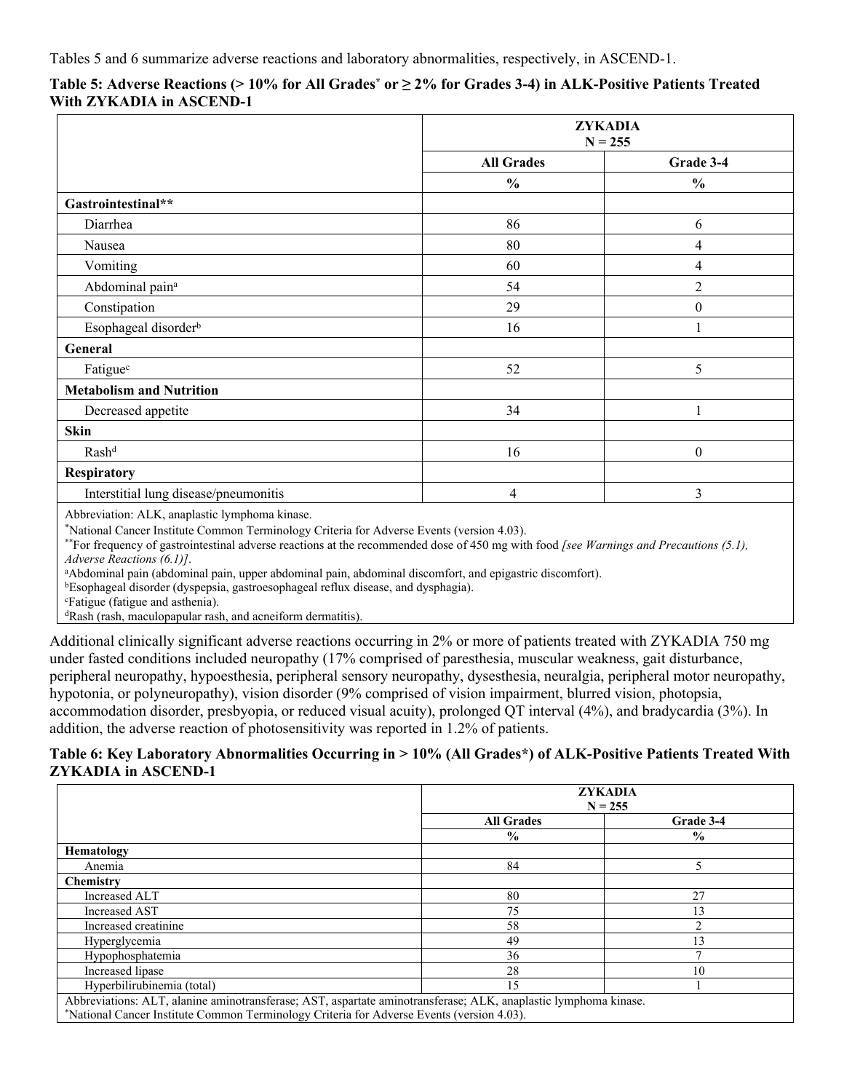#### **Table 5: Adverse Reactions (> 10% for All Grades\* or ≥ 2% for Grades 3-4) in ALK-Positive Patients Treated With ZYKADIA in ASCEND-1**

|                                                                                                                                                                                                                                | <b>ZYKADIA</b><br>$N = 255$ |                  |
|--------------------------------------------------------------------------------------------------------------------------------------------------------------------------------------------------------------------------------|-----------------------------|------------------|
|                                                                                                                                                                                                                                | <b>All Grades</b>           | Grade 3-4        |
|                                                                                                                                                                                                                                | $\frac{0}{0}$               | $\frac{0}{0}$    |
| Gastrointestinal**                                                                                                                                                                                                             |                             |                  |
| Diarrhea                                                                                                                                                                                                                       | 86                          | 6                |
| Nausea                                                                                                                                                                                                                         | 80                          | 4                |
| Vomiting                                                                                                                                                                                                                       | 60                          | 4                |
| Abdominal pain <sup>a</sup>                                                                                                                                                                                                    | 54                          | $\overline{c}$   |
| Constipation                                                                                                                                                                                                                   | 29                          | $\boldsymbol{0}$ |
| Esophageal disorder <sup>b</sup>                                                                                                                                                                                               | 16                          |                  |
| General                                                                                                                                                                                                                        |                             |                  |
| Fatiguec                                                                                                                                                                                                                       | 52                          | 5                |
| <b>Metabolism and Nutrition</b>                                                                                                                                                                                                |                             |                  |
| Decreased appetite                                                                                                                                                                                                             | 34                          |                  |
| <b>Skin</b>                                                                                                                                                                                                                    |                             |                  |
| Rashd                                                                                                                                                                                                                          | 16                          | $\boldsymbol{0}$ |
| Respiratory                                                                                                                                                                                                                    |                             |                  |
| Interstitial lung disease/pneumonitis                                                                                                                                                                                          | 4                           | 3                |
| the contract of the second contract of the contract of the contract of the contract of the contract of the contract of the contract of the contract of the contract of the contract of the contract of the contract of the con |                             |                  |

Abbreviation: ALK, anaplastic lymphoma kinase.

\*National Cancer Institute Common Terminology Criteria for Adverse Events (version 4.03).

\*\*For frequency of gastrointestinal adverse reactions at the recommended dose of 450 mg with food *[see Warnings and Precautions (5.1), Adverse Reactions (6.1)]*.

<sup>a</sup>Abdominal pain (abdominal pain, upper abdominal pain, abdominal discomfort, and epigastric discomfort).

<sup>b</sup>Esophageal disorder (dyspepsia, gastroesophageal reflux disease, and dysphagia).

<sup>c</sup>Fatigue (fatigue and asthenia).

<sup>d</sup>Rash (rash, maculopapular rash, and acneiform dermatitis).

Additional clinically significant adverse reactions occurring in 2% or more of patients treated with ZYKADIA 750 mg under fasted conditions included neuropathy (17% comprised of paresthesia, muscular weakness, gait disturbance, peripheral neuropathy, hypoesthesia, peripheral sensory neuropathy, dysesthesia, neuralgia, peripheral motor neuropathy, hypotonia, or polyneuropathy), vision disorder (9% comprised of vision impairment, blurred vision, photopsia, accommodation disorder, presbyopia, or reduced visual acuity), prolonged QT interval (4%), and bradycardia (3%). In addition, the adverse reaction of photosensitivity was reported in 1.2% of patients.

#### **Table 6: Key Laboratory Abnormalities Occurring in > 10% (All Grades\*) of ALK-Positive Patients Treated With ZYKADIA in ASCEND-1**

|                                                                                                                 |                   | ZYKADIA<br>$N = 255$ |
|-----------------------------------------------------------------------------------------------------------------|-------------------|----------------------|
|                                                                                                                 | <b>All Grades</b> | Grade 3-4            |
|                                                                                                                 | $\frac{0}{0}$     | $\frac{0}{0}$        |
| <b>Hematology</b>                                                                                               |                   |                      |
| Anemia                                                                                                          | 84                |                      |
| <b>Chemistry</b>                                                                                                |                   |                      |
| Increased ALT                                                                                                   | 80                | 27                   |
| Increased AST                                                                                                   | 75                | 13                   |
| Increased creatinine                                                                                            | 58                |                      |
| Hyperglycemia                                                                                                   | 49                | 13                   |
| Hypophosphatemia                                                                                                | 36                |                      |
| Increased lipase                                                                                                | 28                | 10                   |
| Hyperbilirubinemia (total)                                                                                      | 15                |                      |
| Abbreviations: ALT, alanine aminotransferase: AST, aspartate aminotransferase: ALK, anaplastic lymphoma kinase, |                   |                      |

Abbreviations: ALT, alanine aminotransferase; AST, aspartate aminotransferase; ALK, anaplastic lymphoma kinase. \*National Cancer Institute Common Terminology Criteria for Adverse Events (version 4.03).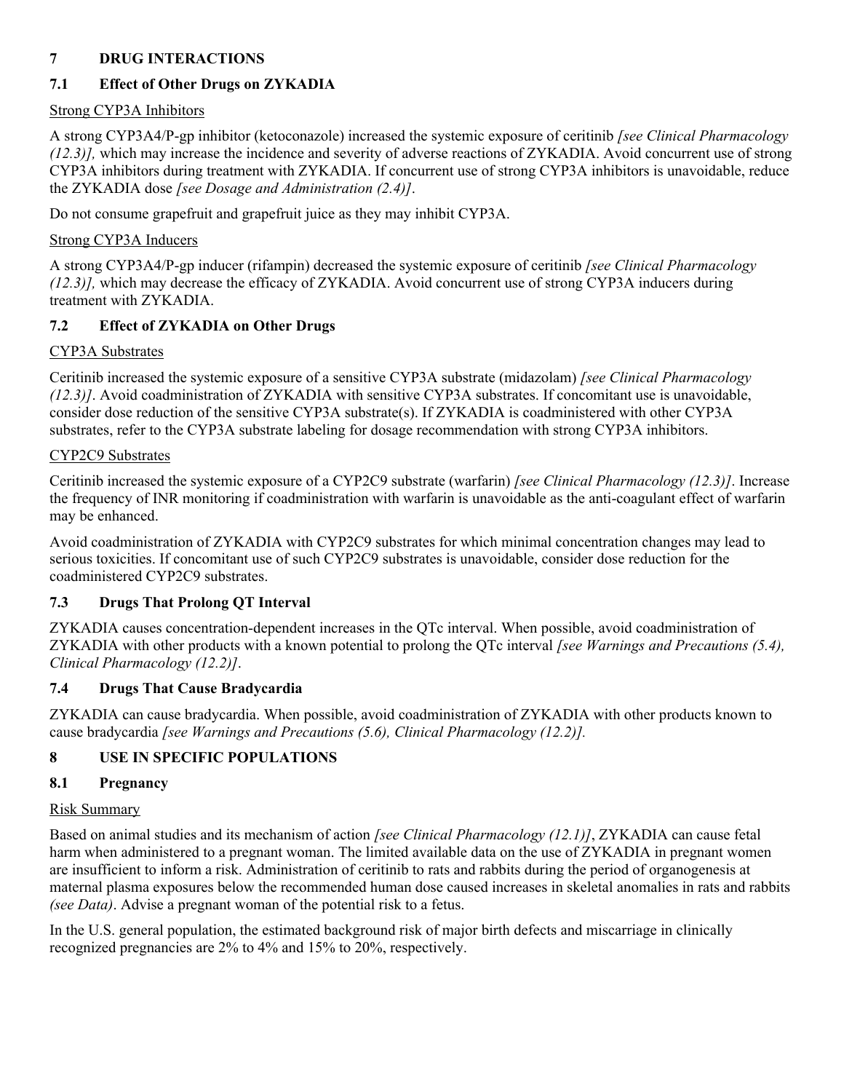## <span id="page-9-3"></span>**7 DRUG INTERACTIONS**

# <span id="page-9-1"></span>**7.1 Effect of Other Drugs on ZYKADIA**

# Strong CYP3A Inhibitors

A strong CYP3A4/P-gp inhibitor (ketoconazole) increased the systemic exposure of ceritinib *[see Clinical Pharmacology (12.3)],* which may increase the incidence and severity of adverse reactions of ZYKADIA. Avoid concurrent use of strong CYP3A inhibitors during treatment with ZYKADIA. If concurrent use of strong CYP3A inhibitors is unavoidable, reduce the ZYKADIA dose *[see Dosage and Administration (2.4)]*.

Do not consume grapefruit and grapefruit juice as they may inhibit CYP3A.

# Strong CYP3A Inducers

A strong CYP3A4/P-gp inducer (rifampin) decreased the systemic exposure of ceritinib *[see Clinical Pharmacology (12.3)],* which may decrease the efficacy of ZYKADIA. Avoid concurrent use of strong CYP3A inducers during treatment with ZYKADIA.

# <span id="page-9-2"></span>**7.2 Effect of ZYKADIA on Other Drugs**

# CYP3A Substrates

Ceritinib increased the systemic exposure of a sensitive CYP3A substrate (midazolam) *[see Clinical Pharmacology (12.3)]*. Avoid coadministration of ZYKADIA with sensitive CYP3A substrates. If concomitant use is unavoidable, consider dose reduction of the sensitive CYP3A substrate(s). If ZYKADIA is coadministered with other CYP3A substrates, refer to the CYP3A substrate labeling for dosage recommendation with strong CYP3A inhibitors.

# CYP2C9 Substrates

Ceritinib increased the systemic exposure of a CYP2C9 substrate (warfarin) *[see Clinical Pharmacology (12.3)]*. Increase the frequency of INR monitoring if coadministration with warfarin is unavoidable as the anti-coagulant effect of warfarin may be enhanced.

Avoid coadministration of ZYKADIA with CYP2C9 substrates for which minimal concentration changes may lead to serious toxicities. If concomitant use of such CYP2C9 substrates is unavoidable, consider dose reduction for the coadministered CYP2C9 substrates.

# <span id="page-9-4"></span>**7.3 Drugs That Prolong QT Interval**

ZYKADIA causes concentration-dependent increases in the QTc interval. When possible, avoid coadministration of ZYKADIA with other products with a known potential to prolong the QTc interval *[see Warnings and Precautions (5.4), Clinical Pharmacology (12.2)]*.

# <span id="page-9-5"></span>**7.4 Drugs That Cause Bradycardia**

ZYKADIA can cause bradycardia. When possible, avoid coadministration of ZYKADIA with other products known to cause bradycardia *[see Warnings and Precautions (5.6), Clinical Pharmacology (12.2)].*

# <span id="page-9-6"></span>**8 USE IN SPECIFIC POPULATIONS**

# <span id="page-9-0"></span>**8.1 Pregnancy**

# Risk Summary

Based on animal studies and its mechanism of action *[see Clinical Pharmacology (12.1)]*, ZYKADIA can cause fetal harm when administered to a pregnant woman. The limited available data on the use of ZYKADIA in pregnant women are insufficient to inform a risk. Administration of ceritinib to rats and rabbits during the period of organogenesis at maternal plasma exposures below the recommended human dose caused increases in skeletal anomalies in rats and rabbits *(see Data)*. Advise a pregnant woman of the potential risk to a fetus.

In the U.S. general population, the estimated background risk of major birth defects and miscarriage in clinically recognized pregnancies are 2% to 4% and 15% to 20%, respectively.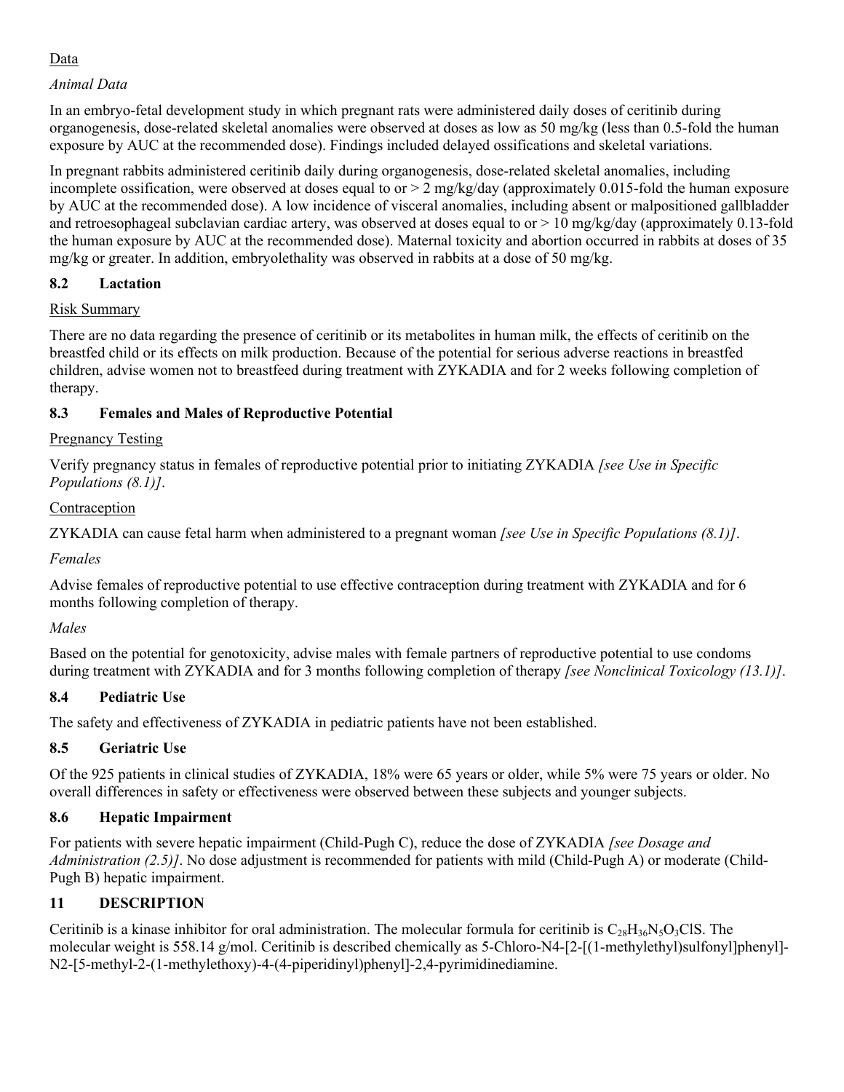## Data

## *Animal Data*

In an embryo-fetal development study in which pregnant rats were administered daily doses of ceritinib during organogenesis, dose-related skeletal anomalies were observed at doses as low as 50 mg/kg (less than 0.5-fold the human exposure by AUC at the recommended dose). Findings included delayed ossifications and skeletal variations.

In pregnant rabbits administered ceritinib daily during organogenesis, dose-related skeletal anomalies, including incomplete ossification, were observed at doses equal to or  $> 2$  mg/kg/day (approximately 0.015-fold the human exposure by AUC at the recommended dose). A low incidence of visceral anomalies, including absent or malpositioned gallbladder and retroesophageal subclavian cardiac artery, was observed at doses equal to or  $> 10 \text{ mg/kg/day}$  (approximately 0.13-fold the human exposure by AUC at the recommended dose). Maternal toxicity and abortion occurred in rabbits at doses of 35 mg/kg or greater. In addition, embryolethality was observed in rabbits at a dose of 50 mg/kg.

## <span id="page-10-1"></span>**8.2 Lactation**

## Risk Summary

There are no data regarding the presence of ceritinib or its metabolites in human milk, the effects of ceritinib on the breastfed child or its effects on milk production. Because of the potential for serious adverse reactions in breastfed children, advise women not to breastfeed during treatment with ZYKADIA and for 2 weeks following completion of therapy.

## <span id="page-10-0"></span>**8.3 Females and Males of Reproductive Potential**

### Pregnancy Testing

Verify pregnancy status in females of reproductive potential prior to initiating ZYKADIA *[see Use in Specific Populations (8.1)]*.

## Contraception

ZYKADIA can cause fetal harm when administered to a pregnant woman *[see Use in Specific Populations (8.1)]*.

### *Females*

Advise females of reproductive potential to use effective contraception during treatment with ZYKADIA and for 6 months following completion of therapy.

## *Males*

Based on the potential for genotoxicity, advise males with female partners of reproductive potential to use condoms during treatment with ZYKADIA and for 3 months following completion of therapy *[see Nonclinical Toxicology (13.1)]*.

## <span id="page-10-3"></span>**8.4 Pediatric Use**

The safety and effectiveness of ZYKADIA in pediatric patients have not been established.

## <span id="page-10-4"></span>**8.5 Geriatric Use**

Of the 925 patients in clinical studies of ZYKADIA, 18% were 65 years or older, while 5% were 75 years or older. No overall differences in safety or effectiveness were observed between these subjects and younger subjects.

## <span id="page-10-2"></span>**8.6 Hepatic Impairment**

For patients with severe hepatic impairment (Child-Pugh C), reduce the dose of ZYKADIA *[see Dosage and Administration (2.5)]*. No dose adjustment is recommended for patients with mild (Child-Pugh A) or moderate (Child-Pugh B) hepatic impairment.

## <span id="page-10-5"></span>**11 DESCRIPTION**

Ceritinib is a kinase inhibitor for oral administration. The molecular formula for ceritinib is  $C_{28}H_{36}N_5O_3CIS$ . The molecular weight is 558.14 g/mol. Ceritinib is described chemically as 5-Chloro-N4-[2-[(1-methylethyl)sulfonyl]phenyl]- N2-[5-methyl-2-(1-methylethoxy)-4-(4-piperidinyl)phenyl]-2,4-pyrimidinediamine.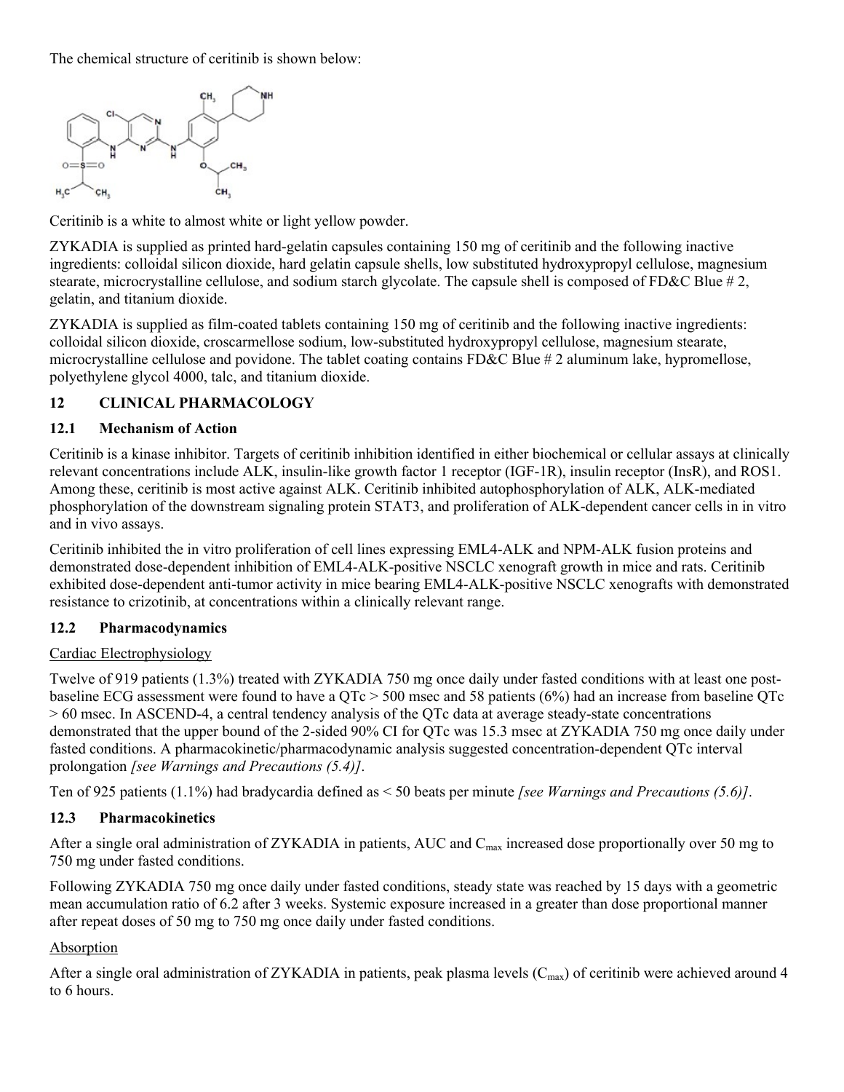The chemical structure of ceritinib is shown below:



Ceritinib is a white to almost white or light yellow powder.

ZYKADIA is supplied as printed hard-gelatin capsules containing 150 mg of ceritinib and the following inactive ingredients: colloidal silicon dioxide, hard gelatin capsule shells, low substituted hydroxypropyl cellulose, magnesium stearate, microcrystalline cellulose, and sodium starch glycolate. The capsule shell is composed of FD&C Blue # 2, gelatin, and titanium dioxide.

ZYKADIA is supplied as film-coated tablets containing 150 mg of ceritinib and the following inactive ingredients: colloidal silicon dioxide, croscarmellose sodium, low-substituted hydroxypropyl cellulose, magnesium stearate, microcrystalline cellulose and povidone. The tablet coating contains FD&C Blue # 2 aluminum lake, hypromellose, polyethylene glycol 4000, talc, and titanium dioxide.

## <span id="page-11-0"></span>**12 CLINICAL PHARMACOLOGY**

### <span id="page-11-1"></span>**12.1 Mechanism of Action**

Ceritinib is a kinase inhibitor. Targets of ceritinib inhibition identified in either biochemical or cellular assays at clinically relevant concentrations include ALK, insulin-like growth factor 1 receptor (IGF-1R), insulin receptor (InsR), and ROS1. Among these, ceritinib is most active against ALK. Ceritinib inhibited autophosphorylation of ALK, ALK-mediated phosphorylation of the downstream signaling protein STAT3, and proliferation of ALK-dependent cancer cells in in vitro and in vivo assays.

Ceritinib inhibited the in vitro proliferation of cell lines expressing EML4-ALK and NPM-ALK fusion proteins and demonstrated dose-dependent inhibition of EML4-ALK-positive NSCLC xenograft growth in mice and rats. Ceritinib exhibited dose-dependent anti-tumor activity in mice bearing EML4-ALK-positive NSCLC xenografts with demonstrated resistance to crizotinib, at concentrations within a clinically relevant range.

### <span id="page-11-2"></span>**12.2 Pharmacodynamics**

### Cardiac Electrophysiology

Twelve of 919 patients (1.3%) treated with ZYKADIA 750 mg once daily under fasted conditions with at least one postbaseline ECG assessment were found to have a QTc > 500 msec and 58 patients (6%) had an increase from baseline QTc > 60 msec. In ASCEND-4, a central tendency analysis of the QTc data at average steady-state concentrations demonstrated that the upper bound of the 2-sided 90% CI for QTc was 15.3 msec at ZYKADIA 750 mg once daily under fasted conditions. A pharmacokinetic/pharmacodynamic analysis suggested concentration-dependent QTc interval prolongation *[see Warnings and Precautions (5.4)]*.

Ten of 925 patients (1.1%) had bradycardia defined as < 50 beats per minute *[see Warnings and Precautions (5.6)]*.

### <span id="page-11-3"></span>**12.3 Pharmacokinetics**

After a single oral administration of ZYKADIA in patients, AUC and  $C_{\text{max}}$  increased dose proportionally over 50 mg to 750 mg under fasted conditions.

Following ZYKADIA 750 mg once daily under fasted conditions, steady state was reached by 15 days with a geometric mean accumulation ratio of 6.2 after 3 weeks. Systemic exposure increased in a greater than dose proportional manner after repeat doses of 50 mg to 750 mg once daily under fasted conditions.

## Absorption

After a single oral administration of ZYKADIA in patients, peak plasma levels  $(C_{max})$  of ceritinib were achieved around 4 to 6 hours.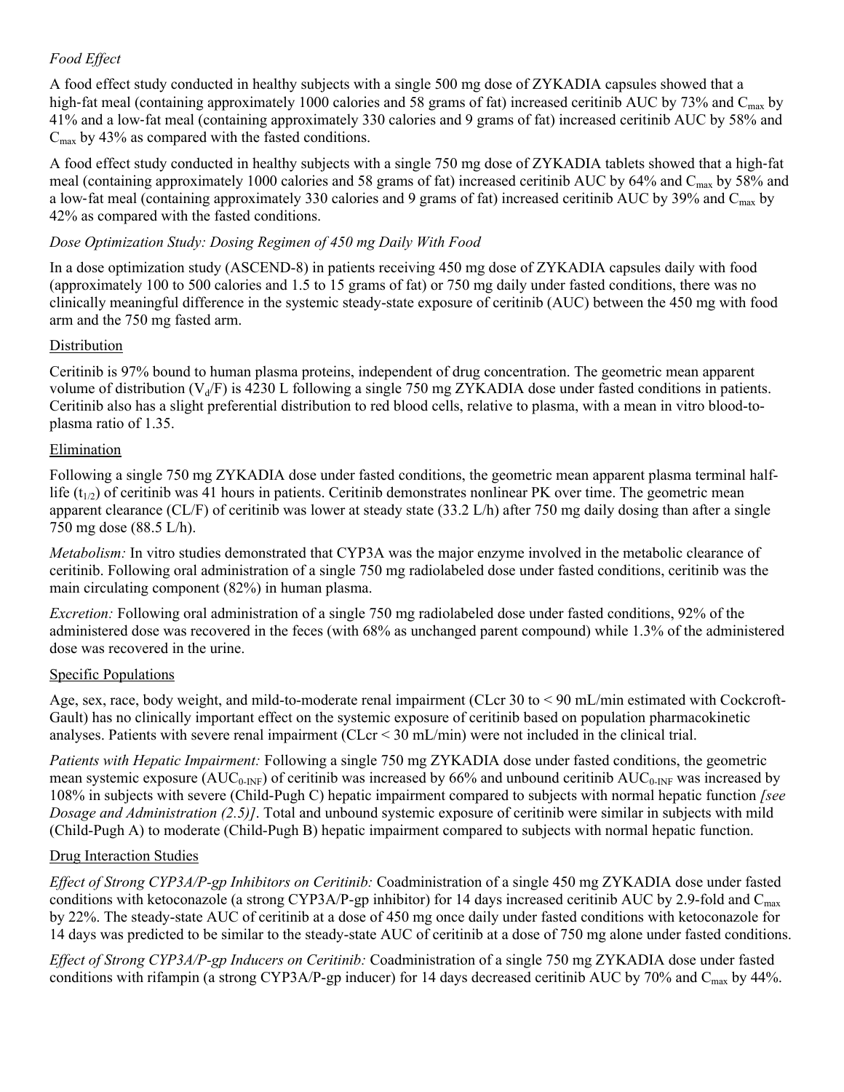## *Food Effect*

A food effect study conducted in healthy subjects with a single 500 mg dose of ZYKADIA capsules showed that a high-fat meal (containing approximately 1000 calories and 58 grams of fat) increased ceritinib AUC by 73% and C<sub>max</sub> by 41% and a low‐fat meal (containing approximately 330 calories and 9 grams of fat) increased ceritinib AUC by 58% and  $C_{\text{max}}$  by 43% as compared with the fasted conditions.

A food effect study conducted in healthy subjects with a single 750 mg dose of ZYKADIA tablets showed that a high‐fat meal (containing approximately 1000 calories and 58 grams of fat) increased ceritinib AUC by 64% and C<sub>max</sub> by 58% and a low-fat meal (containing approximately 330 calories and 9 grams of fat) increased ceritinib AUC by 39% and  $C_{\text{max}}$  by 42% as compared with the fasted conditions.

### *Dose Optimization Study: Dosing Regimen of 450 mg Daily With Food*

In a dose optimization study (ASCEND-8) in patients receiving 450 mg dose of ZYKADIA capsules daily with food (approximately 100 to 500 calories and 1.5 to 15 grams of fat) or 750 mg daily under fasted conditions, there was no clinically meaningful difference in the systemic steady-state exposure of ceritinib (AUC) between the 450 mg with food arm and the 750 mg fasted arm.

#### Distribution

Ceritinib is 97% bound to human plasma proteins, independent of drug concentration. The geometric mean apparent volume of distribution ( $V<sub>d</sub>/F$ ) is 4230 L following a single 750 mg ZYKADIA dose under fasted conditions in patients. Ceritinib also has a slight preferential distribution to red blood cells, relative to plasma, with a mean in vitro blood-toplasma ratio of 1.35.

#### Elimination

Following a single 750 mg ZYKADIA dose under fasted conditions, the geometric mean apparent plasma terminal halflife  $(t_{1/2})$  of ceritinib was 41 hours in patients. Ceritinib demonstrates nonlinear PK over time. The geometric mean apparent clearance (CL/F) of ceritinib was lower at steady state (33.2 L/h) after 750 mg daily dosing than after a single 750 mg dose (88.5 L/h).

*Metabolism:* In vitro studies demonstrated that CYP3A was the major enzyme involved in the metabolic clearance of ceritinib. Following oral administration of a single 750 mg radiolabeled dose under fasted conditions, ceritinib was the main circulating component (82%) in human plasma.

*Excretion:* Following oral administration of a single 750 mg radiolabeled dose under fasted conditions, 92% of the administered dose was recovered in the feces (with 68% as unchanged parent compound) while 1.3% of the administered dose was recovered in the urine.

#### Specific Populations

Age, sex, race, body weight, and mild-to-moderate renal impairment (CLcr 30 to < 90 mL/min estimated with Cockcroft-Gault) has no clinically important effect on the systemic exposure of ceritinib based on population pharmacokinetic analyses. Patients with severe renal impairment (CLcr < 30 mL/min) were not included in the clinical trial.

*Patients with Hepatic Impairment:* Following a single 750 mg ZYKADIA dose under fasted conditions, the geometric mean systemic exposure (AUC<sub>0-INF</sub>) of ceritinib was increased by 66% and unbound ceritinib  $AUC_{0-INF}$  was increased by 108% in subjects with severe (Child-Pugh C) hepatic impairment compared to subjects with normal hepatic function *[see Dosage and Administration (2.5)]*. Total and unbound systemic exposure of ceritinib were similar in subjects with mild (Child-Pugh A) to moderate (Child-Pugh B) hepatic impairment compared to subjects with normal hepatic function.

### Drug Interaction Studies

*Effect of Strong CYP3A/P-gp Inhibitors on Ceritinib:* Coadministration of a single 450 mg ZYKADIA dose under fasted conditions with ketoconazole (a strong CYP3A/P-gp inhibitor) for 14 days increased ceritinib AUC by 2.9-fold and C<sub>max</sub> by 22%. The steady-state AUC of ceritinib at a dose of 450 mg once daily under fasted conditions with ketoconazole for 14 days was predicted to be similar to the steady-state AUC of ceritinib at a dose of 750 mg alone under fasted conditions.

*Effect of Strong CYP3A/P-gp Inducers on Ceritinib:* Coadministration of a single 750 mg ZYKADIA dose under fasted conditions with rifampin (a strong CYP3A/P-gp inducer) for 14 days decreased ceritinib AUC by 70% and C<sub>max</sub> by 44%.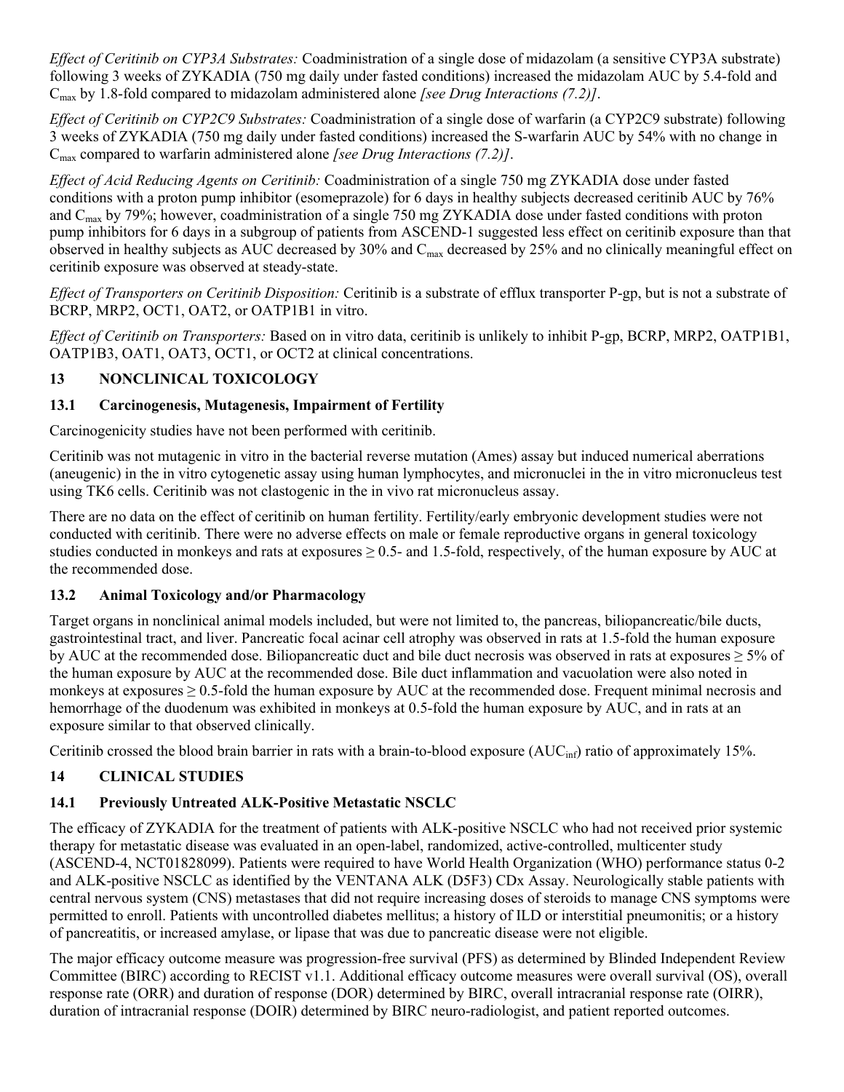*Effect of Ceritinib on CYP3A Substrates:* Coadministration of a single dose of midazolam (a sensitive CYP3A substrate) following 3 weeks of ZYKADIA (750 mg daily under fasted conditions) increased the midazolam AUC by 5.4-fold and Cmax by 1.8-fold compared to midazolam administered alone *[see Drug Interactions (7.2)]*.

*Effect of Ceritinib on CYP2C9 Substrates:* Coadministration of a single dose of warfarin (a CYP2C9 substrate) following 3 weeks of ZYKADIA (750 mg daily under fasted conditions) increased the S-warfarin AUC by 54% with no change in Cmax compared to warfarin administered alone *[see Drug Interactions (7.2)]*.

*Effect of Acid Reducing Agents on Ceritinib:* Coadministration of a single 750 mg ZYKADIA dose under fasted conditions with a proton pump inhibitor (esomeprazole) for 6 days in healthy subjects decreased ceritinib AUC by 76% and Cmax by 79%; however, coadministration of a single 750 mg ZYKADIA dose under fasted conditions with proton pump inhibitors for 6 days in a subgroup of patients from ASCEND-1 suggested less effect on ceritinib exposure than that observed in healthy subjects as AUC decreased by 30% and Cmax decreased by 25% and no clinically meaningful effect on ceritinib exposure was observed at steady-state.

*Effect of Transporters on Ceritinib Disposition:* Ceritinib is a substrate of efflux transporter P-gp, but is not a substrate of BCRP, MRP2, OCT1, OAT2, or OATP1B1 in vitro.

*Effect of Ceritinib on Transporters:* Based on in vitro data, ceritinib is unlikely to inhibit P-gp, BCRP, MRP2, OATP1B1, OATP1B3, OAT1, OAT3, OCT1, or OCT2 at clinical concentrations.

## <span id="page-13-0"></span>**13 NONCLINICAL TOXICOLOGY**

## <span id="page-13-1"></span>**13.1 Carcinogenesis, Mutagenesis, Impairment of Fertility**

Carcinogenicity studies have not been performed with ceritinib.

Ceritinib was not mutagenic in vitro in the bacterial reverse mutation (Ames) assay but induced numerical aberrations (aneugenic) in the in vitro cytogenetic assay using human lymphocytes, and micronuclei in the in vitro micronucleus test using TK6 cells. Ceritinib was not clastogenic in the in vivo rat micronucleus assay.

There are no data on the effect of ceritinib on human fertility. Fertility/early embryonic development studies were not conducted with ceritinib. There were no adverse effects on male or female reproductive organs in general toxicology studies conducted in monkeys and rats at exposures  $\geq 0.5$ - and 1.5-fold, respectively, of the human exposure by AUC at the recommended dose.

## <span id="page-13-2"></span>**13.2 Animal Toxicology and/or Pharmacology**

Target organs in nonclinical animal models included, but were not limited to, the pancreas, biliopancreatic/bile ducts, gastrointestinal tract, and liver. Pancreatic focal acinar cell atrophy was observed in rats at 1.5-fold the human exposure by AUC at the recommended dose. Biliopancreatic duct and bile duct necrosis was observed in rats at exposures  $\geq$  5% of the human exposure by AUC at the recommended dose. Bile duct inflammation and vacuolation were also noted in monkeys at exposures  $\geq 0.5$ -fold the human exposure by AUC at the recommended dose. Frequent minimal necrosis and hemorrhage of the duodenum was exhibited in monkeys at 0.5-fold the human exposure by AUC, and in rats at an exposure similar to that observed clinically.

Ceritinib crossed the blood brain barrier in rats with a brain-to-blood exposure  $(AUC_{inf})$  ratio of approximately 15%.

## <span id="page-13-3"></span>**14 CLINICAL STUDIES**

## <span id="page-13-4"></span>**14.1 Previously Untreated ALK-Positive Metastatic NSCLC**

The efficacy of ZYKADIA for the treatment of patients with ALK-positive NSCLC who had not received prior systemic therapy for metastatic disease was evaluated in an open-label, randomized, active-controlled, multicenter study (ASCEND-4, NCT01828099). Patients were required to have World Health Organization (WHO) performance status 0-2 and ALK-positive NSCLC as identified by the VENTANA ALK (D5F3) CDx Assay. Neurologically stable patients with central nervous system (CNS) metastases that did not require increasing doses of steroids to manage CNS symptoms were permitted to enroll. Patients with uncontrolled diabetes mellitus; a history of ILD or interstitial pneumonitis; or a history of pancreatitis, or increased amylase, or lipase that was due to pancreatic disease were not eligible.

The major efficacy outcome measure was progression-free survival (PFS) as determined by Blinded Independent Review Committee (BIRC) according to RECIST v1.1. Additional efficacy outcome measures were overall survival (OS), overall response rate (ORR) and duration of response (DOR) determined by BIRC, overall intracranial response rate (OIRR), duration of intracranial response (DOIR) determined by BIRC neuro-radiologist, and patient reported outcomes.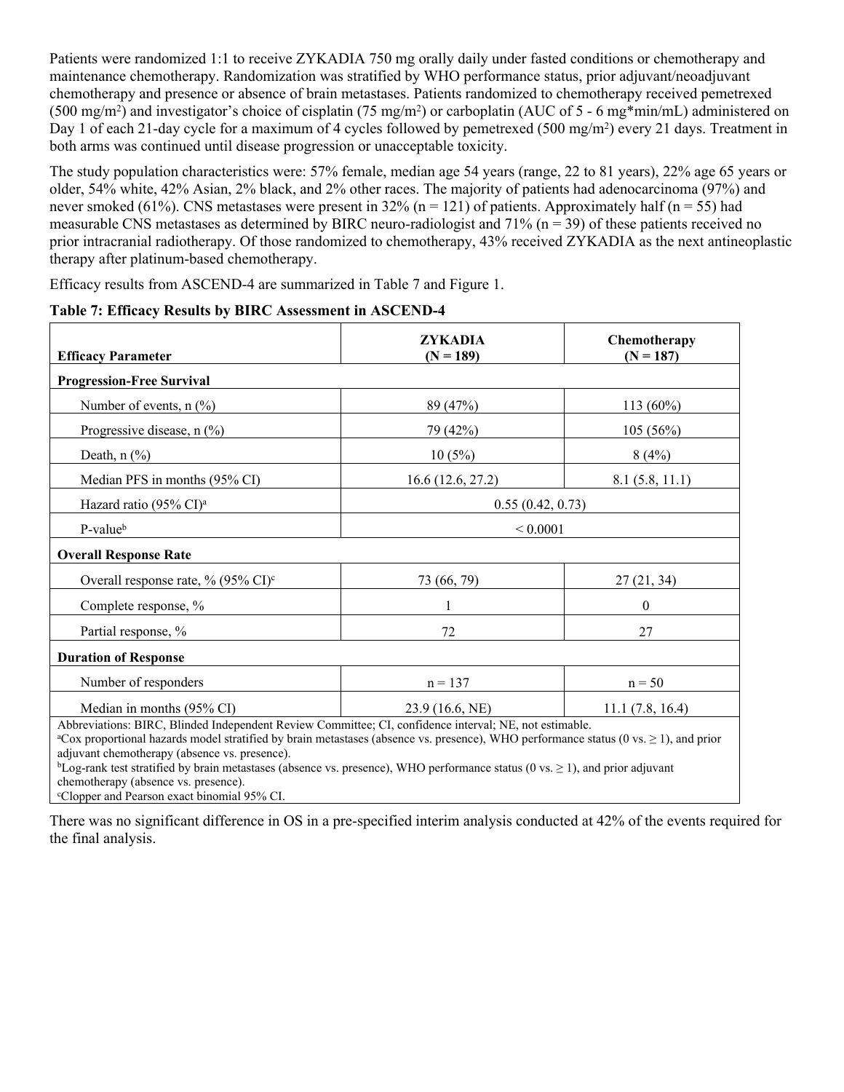Patients were randomized 1:1 to receive ZYKADIA 750 mg orally daily under fasted conditions or chemotherapy and maintenance chemotherapy. Randomization was stratified by WHO performance status, prior adjuvant/neoadjuvant chemotherapy and presence or absence of brain metastases. Patients randomized to chemotherapy received pemetrexed (500 mg/m<sup>2</sup>) and investigator's choice of cisplatin (75 mg/m<sup>2</sup>) or carboplatin (AUC of 5 - 6 mg\*min/mL) administered on Day 1 of each 21-day cycle for a maximum of 4 cycles followed by pemetrexed (500 mg/m<sup>2</sup>) every 21 days. Treatment in both arms was continued until disease progression or unacceptable toxicity.

The study population characteristics were: 57% female, median age 54 years (range, 22 to 81 years), 22% age 65 years or older, 54% white, 42% Asian, 2% black, and 2% other races. The majority of patients had adenocarcinoma (97%) and never smoked (61%). CNS metastases were present in  $32\%$  (n = 121) of patients. Approximately half (n = 55) had measurable CNS metastases as determined by BIRC neuro-radiologist and  $71\%$  (n = 39) of these patients received no prior intracranial radiotherapy. Of those randomized to chemotherapy, 43% received ZYKADIA as the next antineoplastic therapy after platinum-based chemotherapy.

Efficacy results from ASCEND-4 are summarized in Table 7 and Figure 1.

| <b>Efficacy Parameter</b>                                                                                                                                                                                                                                                                                                                                                                                                                                                                                                                                               | <b>ZYKADIA</b><br>$(N = 189)$ | Chemotherapy<br>$(N = 187)$ |  |
|-------------------------------------------------------------------------------------------------------------------------------------------------------------------------------------------------------------------------------------------------------------------------------------------------------------------------------------------------------------------------------------------------------------------------------------------------------------------------------------------------------------------------------------------------------------------------|-------------------------------|-----------------------------|--|
| <b>Progression-Free Survival</b>                                                                                                                                                                                                                                                                                                                                                                                                                                                                                                                                        |                               |                             |  |
| Number of events, $n$ $(\%)$                                                                                                                                                                                                                                                                                                                                                                                                                                                                                                                                            | 89 (47%)                      | $113(60\%)$                 |  |
| Progressive disease, $n$ (%)                                                                                                                                                                                                                                                                                                                                                                                                                                                                                                                                            | 79 (42%)                      | 105 (56%)                   |  |
| Death, $n$ $(\%)$                                                                                                                                                                                                                                                                                                                                                                                                                                                                                                                                                       | 10(5%)                        | 8(4%)                       |  |
| Median PFS in months (95% CI)                                                                                                                                                                                                                                                                                                                                                                                                                                                                                                                                           | 16.6(12.6, 27.2)              | 8.1(5.8, 11.1)              |  |
| Hazard ratio (95% CI) <sup>a</sup>                                                                                                                                                                                                                                                                                                                                                                                                                                                                                                                                      | 0.55(0.42, 0.73)              |                             |  |
| P-value <sup>b</sup>                                                                                                                                                                                                                                                                                                                                                                                                                                                                                                                                                    | ${}< 0.0001$                  |                             |  |
| <b>Overall Response Rate</b>                                                                                                                                                                                                                                                                                                                                                                                                                                                                                                                                            |                               |                             |  |
| Overall response rate, % $(95\% \text{ CI})^c$                                                                                                                                                                                                                                                                                                                                                                                                                                                                                                                          | 73 (66, 79)                   | 27(21, 34)                  |  |
| Complete response, %                                                                                                                                                                                                                                                                                                                                                                                                                                                                                                                                                    |                               | $\boldsymbol{0}$            |  |
| Partial response, %                                                                                                                                                                                                                                                                                                                                                                                                                                                                                                                                                     | 72                            | 27                          |  |
| <b>Duration of Response</b>                                                                                                                                                                                                                                                                                                                                                                                                                                                                                                                                             |                               |                             |  |
| Number of responders                                                                                                                                                                                                                                                                                                                                                                                                                                                                                                                                                    | $n = 137$                     | $n = 50$                    |  |
| Median in months (95% CI)                                                                                                                                                                                                                                                                                                                                                                                                                                                                                                                                               | 23.9 (16.6, NE)               | 11.1(7.8, 16.4)             |  |
| Abbreviations: BIRC, Blinded Independent Review Committee; CI, confidence interval; NE, not estimable.<br><sup>a</sup> Cox proportional hazards model stratified by brain metastases (absence vs. presence), WHO performance status (0 vs. $\geq$ 1), and prior<br>adjuvant chemotherapy (absence vs. presence).<br>${}^{\text{b}}$ Log-rank test stratified by brain metastases (absence vs. presence), WHO performance status (0 vs. $\geq$ 1), and prior adjuvant<br>chemotherapy (absence vs. presence).<br><sup>c</sup> Clopper and Pearson exact binomial 95% CI. |                               |                             |  |

### **Table 7: Efficacy Results by BIRC Assessment in ASCEND-4**

There was no significant difference in OS in a pre-specified interim analysis conducted at 42% of the events required for the final analysis.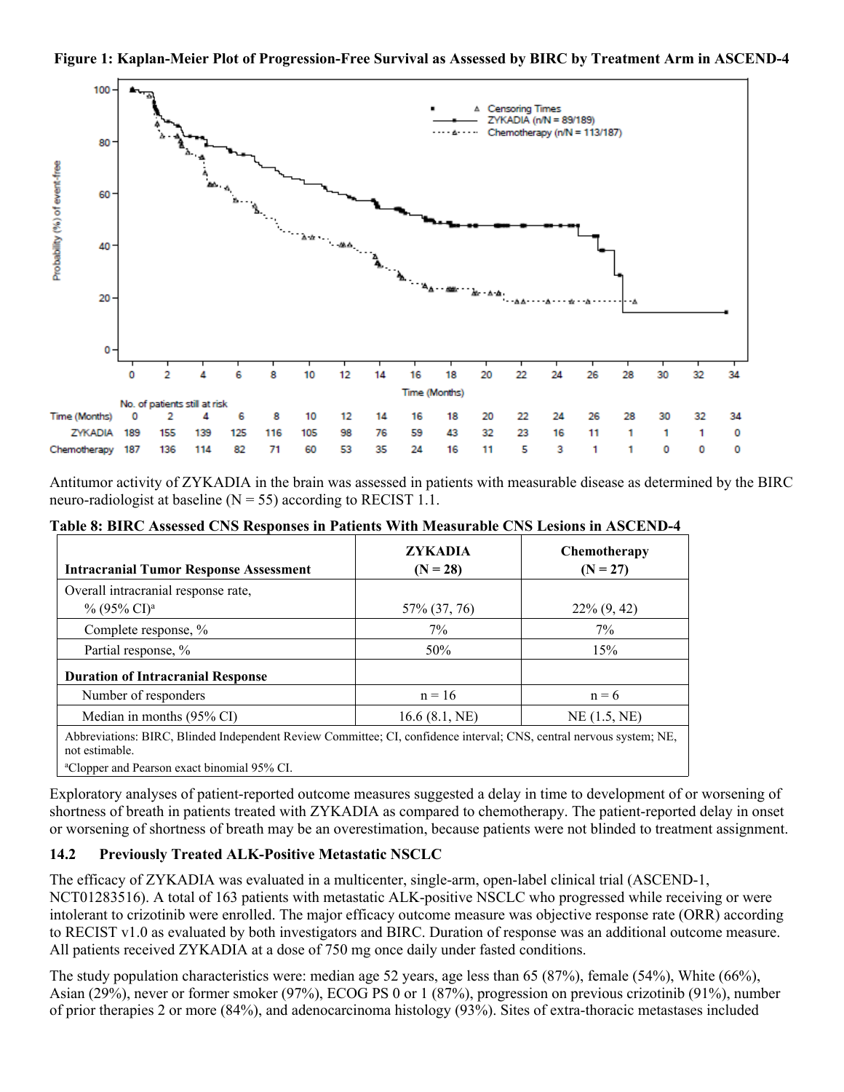



Antitumor activity of ZYKADIA in the brain was assessed in patients with measurable disease as determined by the BIRC neuro-radiologist at baseline  $(N = 55)$  according to RECIST 1.1.

**Table 8: BIRC Assessed CNS Responses in Patients With Measurable CNS Lesions in ASCEND-4**

| <b>Intracranial Tumor Response Assessment</b>                                                                                          | <b>ZYKADIA</b><br>$(N = 28)$ | <b>Chemotherapy</b><br>$(N = 27)$ |
|----------------------------------------------------------------------------------------------------------------------------------------|------------------------------|-----------------------------------|
| Overall intracranial response rate,                                                                                                    |                              |                                   |
| $\%$ (95% CI) <sup>a</sup>                                                                                                             | 57% (37, 76)                 | $22\% (9, 42)$                    |
| Complete response, %                                                                                                                   | $7\%$                        | $7\%$                             |
| Partial response, %                                                                                                                    | 50%                          | 15%                               |
| <b>Duration of Intracranial Response</b>                                                                                               |                              |                                   |
| Number of responders                                                                                                                   | $n = 16$                     | $n = 6$                           |
| Median in months $(95\% \text{ CI})$                                                                                                   | 16.6(8.1, NE)                | $NE$ $(1.5, NE)$                  |
| Abbreviations: BIRC, Blinded Independent Review Committee; CI, confidence interval; CNS, central nervous system; NE,<br>not estimable. |                              |                                   |
| <sup>a</sup> Clopper and Pearson exact binomial 95% CI.                                                                                |                              |                                   |

Exploratory analyses of patient-reported outcome measures suggested a delay in time to development of or worsening of shortness of breath in patients treated with ZYKADIA as compared to chemotherapy. The patient-reported delay in onset or worsening of shortness of breath may be an overestimation, because patients were not blinded to treatment assignment.

### <span id="page-15-0"></span>**14.2 Previously Treated ALK-Positive Metastatic NSCLC**

The efficacy of ZYKADIA was evaluated in a multicenter, single-arm, open-label clinical trial (ASCEND-1, NCT01283516). A total of 163 patients with metastatic ALK-positive NSCLC who progressed while receiving or were intolerant to crizotinib were enrolled. The major efficacy outcome measure was objective response rate (ORR) according to RECIST v1.0 as evaluated by both investigators and BIRC. Duration of response was an additional outcome measure. All patients received ZYKADIA at a dose of 750 mg once daily under fasted conditions.

The study population characteristics were: median age 52 years, age less than 65 (87%), female (54%), White (66%), Asian (29%), never or former smoker (97%), ECOG PS 0 or 1 (87%), progression on previous crizotinib (91%), number of prior therapies 2 or more (84%), and adenocarcinoma histology (93%). Sites of extra-thoracic metastases included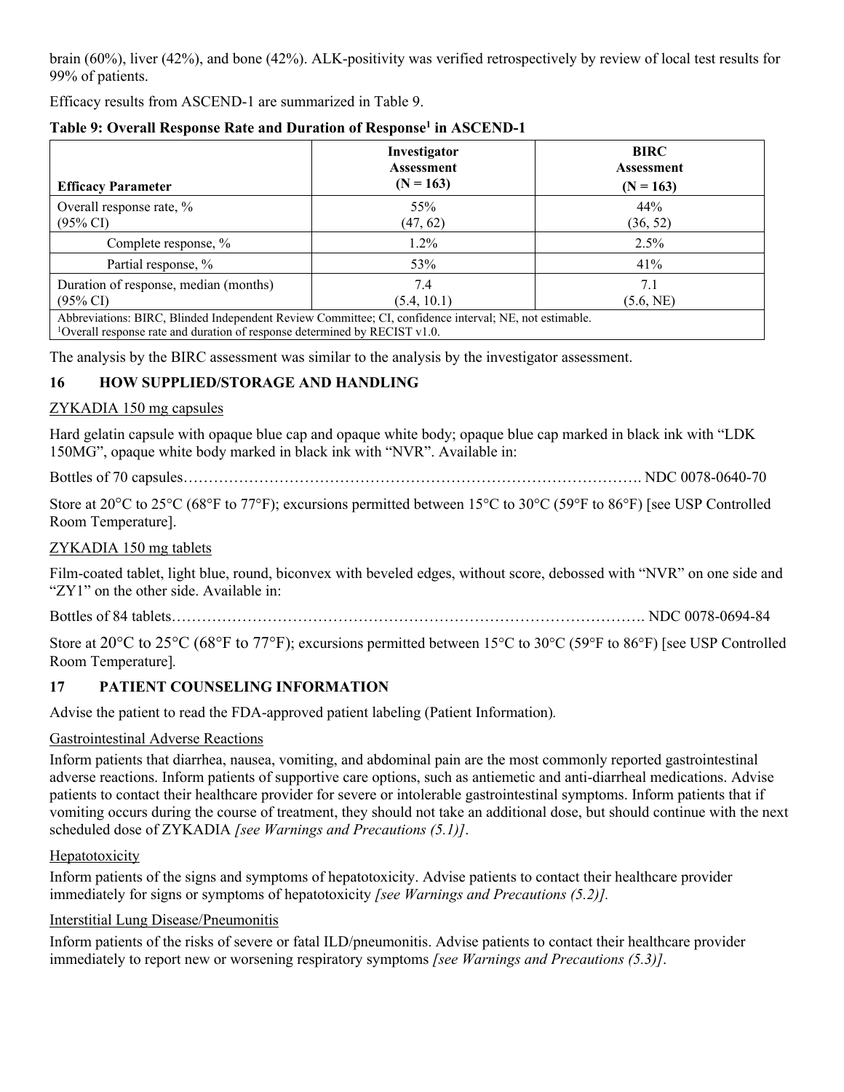brain (60%), liver (42%), and bone (42%). ALK-positivity was verified retrospectively by review of local test results for 99% of patients.

Efficacy results from ASCEND-1 are summarized in Table 9.

| <b>Efficacy Parameter</b>                                                                                                                                                                           | Investigator<br><b>Assessment</b><br>$(N = 163)$ | <b>BIRC</b><br><b>Assessment</b><br>$(N = 163)$ |  |
|-----------------------------------------------------------------------------------------------------------------------------------------------------------------------------------------------------|--------------------------------------------------|-------------------------------------------------|--|
| Overall response rate, %<br>$(95\% \text{ CI})$                                                                                                                                                     | 55%<br>(47, 62)                                  | 44%<br>(36, 52)                                 |  |
| Complete response, %                                                                                                                                                                                | 1.2%                                             | $2.5\%$                                         |  |
| Partial response, %                                                                                                                                                                                 | 53%                                              | 41%                                             |  |
| Duration of response, median (months)<br>$(95\% \text{ CI})$                                                                                                                                        | 7.4<br>(5.4, 10.1)                               | 7.1<br>(5.6, NE)                                |  |
| Abbreviations: BIRC, Blinded Independent Review Committee; CI, confidence interval; NE, not estimable.<br><sup>1</sup> Overall response rate and duration of response determined by RECIST $v1.0$ . |                                                  |                                                 |  |

## **Table 9: Overall Response Rate and Duration of Response<sup>1</sup> in ASCEND-1**

The analysis by the BIRC assessment was similar to the analysis by the investigator assessment.

## <span id="page-16-0"></span>**16 HOW SUPPLIED/STORAGE AND HANDLING**

### ZYKADIA 150 mg capsules

Hard gelatin capsule with opaque blue cap and opaque white body; opaque blue cap marked in black ink with "LDK 150MG", opaque white body marked in black ink with "NVR". Available in:

Bottles of 70 capsules………………………………………………………………………………. NDC 0078-0640-70

Store at 20°C to 25°C (68°F to 77°F); excursions permitted between 15°C to 30°C (59°F to 86°F) [see USP Controlled Room Temperature].

### ZYKADIA 150 mg tablets

Film-coated tablet, light blue, round, biconvex with beveled edges, without score, debossed with "NVR" on one side and "ZY1" on the other side. Available in:

Bottles of 84 tablets…………………………………………………………………………………. NDC 0078-0694-84

Store at 20°C to 25°C (68°F to 77°F); excursions permitted between 15°C to 30°C (59°F to 86°F) [see USP Controlled Room Temperature]*.*

## <span id="page-16-1"></span>**17 PATIENT COUNSELING INFORMATION**

Advise the patient to read the FDA-approved patient labeling (Patient Information)*.*

### Gastrointestinal Adverse Reactions

Inform patients that diarrhea, nausea, vomiting, and abdominal pain are the most commonly reported gastrointestinal adverse reactions. Inform patients of supportive care options, such as antiemetic and anti-diarrheal medications. Advise patients to contact their healthcare provider for severe or intolerable gastrointestinal symptoms. Inform patients that if vomiting occurs during the course of treatment, they should not take an additional dose, but should continue with the next scheduled dose of ZYKADIA *[see Warnings and Precautions (5.1)]*.

### Hepatotoxicity

Inform patients of the signs and symptoms of hepatotoxicity. Advise patients to contact their healthcare provider immediately for signs or symptoms of hepatotoxicity *[see Warnings and Precautions (5.2)].*

### Interstitial Lung Disease/Pneumonitis

Inform patients of the risks of severe or fatal ILD/pneumonitis. Advise patients to contact their healthcare provider immediately to report new or worsening respiratory symptoms *[see Warnings and Precautions (5.3)]*.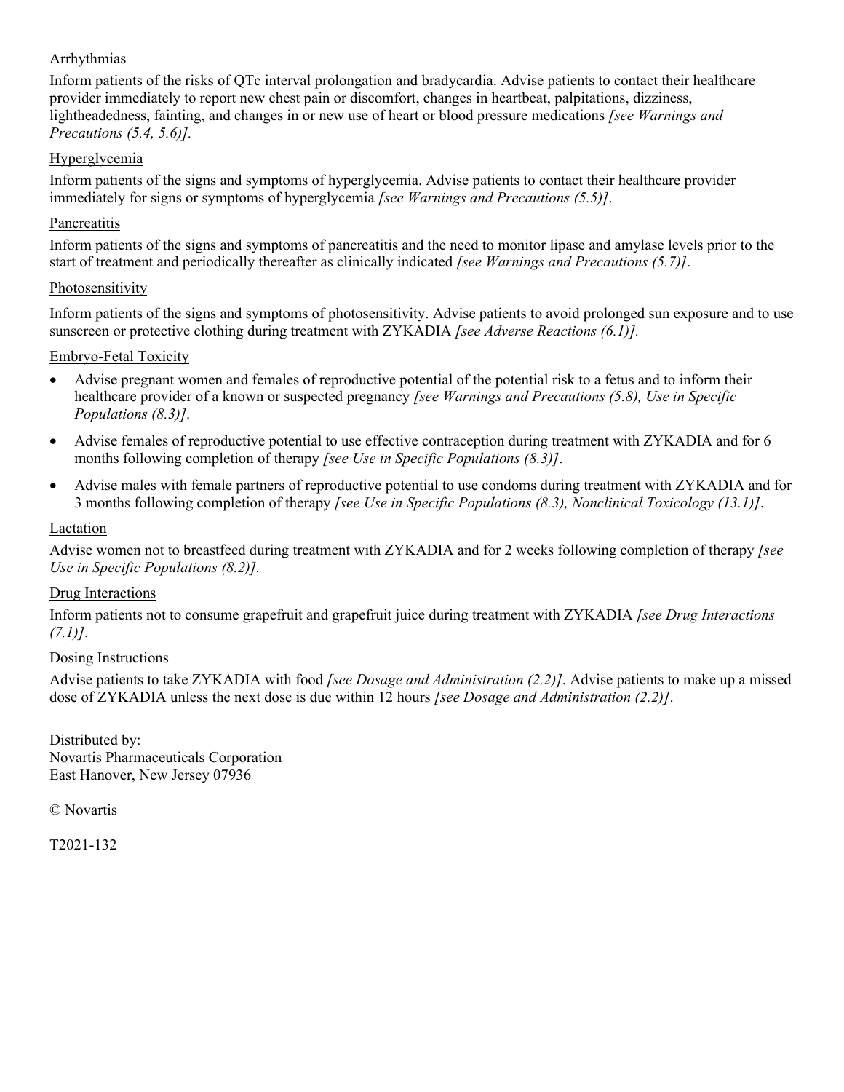### Arrhythmias

Inform patients of the risks of QTc interval prolongation and bradycardia. Advise patients to contact their healthcare provider immediately to report new chest pain or discomfort, changes in heartbeat, palpitations, dizziness, lightheadedness, fainting, and changes in or new use of heart or blood pressure medications *[see Warnings and Precautions (5.4, 5.6)].*

## Hyperglycemia

Inform patients of the signs and symptoms of hyperglycemia. Advise patients to contact their healthcare provider immediately for signs or symptoms of hyperglycemia *[see Warnings and Precautions (5.5)]*.

#### **Pancreatitis**

Inform patients of the signs and symptoms of pancreatitis and the need to monitor lipase and amylase levels prior to the start of treatment and periodically thereafter as clinically indicated *[see Warnings and Precautions (5.7)]*.

#### Photosensitivity

Inform patients of the signs and symptoms of photosensitivity. Advise patients to avoid prolonged sun exposure and to use sunscreen or protective clothing during treatment with ZYKADIA *[see Adverse Reactions (6.1)].*

#### Embryo-Fetal Toxicity

- Advise pregnant women and females of reproductive potential of the potential risk to a fetus and to inform their healthcare provider of a known or suspected pregnancy *[see Warnings and Precautions (5.8), Use in Specific Populations (8.3)]*.
- Advise females of reproductive potential to use effective contraception during treatment with ZYKADIA and for 6 months following completion of therapy *[see Use in Specific Populations (8.3)]*.
- Advise males with female partners of reproductive potential to use condoms during treatment with ZYKADIA and for 3 months following completion of therapy *[see Use in Specific Populations (8.3), Nonclinical Toxicology (13.1)]*.

#### Lactation

Advise women not to breastfeed during treatment with ZYKADIA and for 2 weeks following completion of therapy *[see Use in Specific Populations (8.2)].*

#### Drug Interactions

Inform patients not to consume grapefruit and grapefruit juice during treatment with ZYKADIA *[see Drug Interactions (7.1)]*.

#### Dosing Instructions

Advise patients to take ZYKADIA with food *[see Dosage and Administration (2.2)]*. Advise patients to make up a missed dose of ZYKADIA unless the next dose is due within 12 hours *[see Dosage and Administration (2.2)]*.

Distributed by: Novartis Pharmaceuticals Corporation East Hanover, New Jersey 07936

© Novartis

T2021-132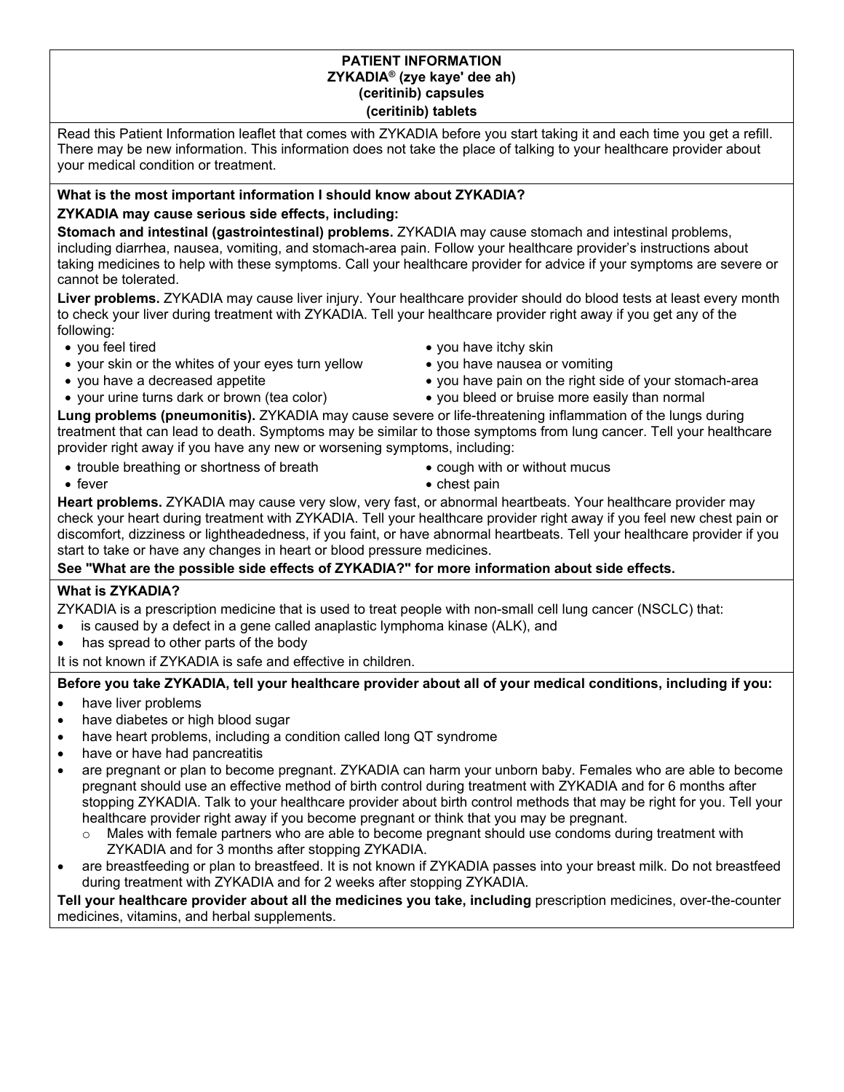#### **PATIENT INFORMATION ZYKADIA® (zye kaye' dee ah) (ceritinib) capsules (ceritinib) tablets**

Read this Patient Information leaflet that comes with ZYKADIA before you start taking it and each time you get a refill. There may be new information. This information does not take the place of talking to your healthcare provider about your medical condition or treatment.

# **What is the most important information I should know about ZYKADIA?**

## **ZYKADIA may cause serious side effects, including:**

**Stomach and intestinal (gastrointestinal) problems.** ZYKADIA may cause stomach and intestinal problems, including diarrhea, nausea, vomiting, and stomach-area pain. Follow your healthcare provider's instructions about taking medicines to help with these symptoms. Call your healthcare provider for advice if your symptoms are severe or cannot be tolerated.

**Liver problems.** ZYKADIA may cause liver injury. Your healthcare provider should do blood tests at least every month to check your liver during treatment with ZYKADIA. Tell your healthcare provider right away if you get any of the following:

- 
- your skin or the whites of your eyes turn yellow you have nausea or vomiting
- 
- 
- you feel tired **you have itchy skin** 
	-
- you have a decreased appetite **you have pain on the right side of your stomach-area**
- your urine turns dark or brown (tea color) you bleed or bruise more easily than normal

**Lung problems (pneumonitis).** ZYKADIA may cause severe or life-threatening inflammation of the lungs during treatment that can lead to death. Symptoms may be similar to those symptoms from lung cancer. Tell your healthcare provider right away if you have any new or worsening symptoms, including:

- trouble breathing or shortness of breath cough with or without mucus
	-
- 
- fever **chest pain chest pain**

**Heart problems.** ZYKADIA may cause very slow, very fast, or abnormal heartbeats. Your healthcare provider may check your heart during treatment with ZYKADIA. Tell your healthcare provider right away if you feel new chest pain or discomfort, dizziness or lightheadedness, if you faint, or have abnormal heartbeats. Tell your healthcare provider if you start to take or have any changes in heart or blood pressure medicines.

**See "What are the possible side effects of ZYKADIA?" for more information about side effects.**

## **What is ZYKADIA?**

ZYKADIA is a prescription medicine that is used to treat people with non-small cell lung cancer (NSCLC) that:

- is caused by a defect in a gene called anaplastic lymphoma kinase (ALK), and
- has spread to other parts of the body

It is not known if ZYKADIA is safe and effective in children.

**Before you take ZYKADIA, tell your healthcare provider about all of your medical conditions, including if you:**

- have liver problems
- have diabetes or high blood sugar
- have heart problems, including a condition called long QT syndrome
- have or have had pancreatitis
- are pregnant or plan to become pregnant. ZYKADIA can harm your unborn baby. Females who are able to become pregnant should use an effective method of birth control during treatment with ZYKADIA and for 6 months after stopping ZYKADIA. Talk to your healthcare provider about birth control methods that may be right for you. Tell your healthcare provider right away if you become pregnant or think that you may be pregnant.
	- $\circ$  Males with female partners who are able to become pregnant should use condoms during treatment with ZYKADIA and for 3 months after stopping ZYKADIA.
- are breastfeeding or plan to breastfeed. It is not known if ZYKADIA passes into your breast milk. Do not breastfeed during treatment with ZYKADIA and for 2 weeks after stopping ZYKADIA.

**Tell your healthcare provider about all the medicines you take, including** prescription medicines, over-the-counter medicines, vitamins, and herbal supplements.